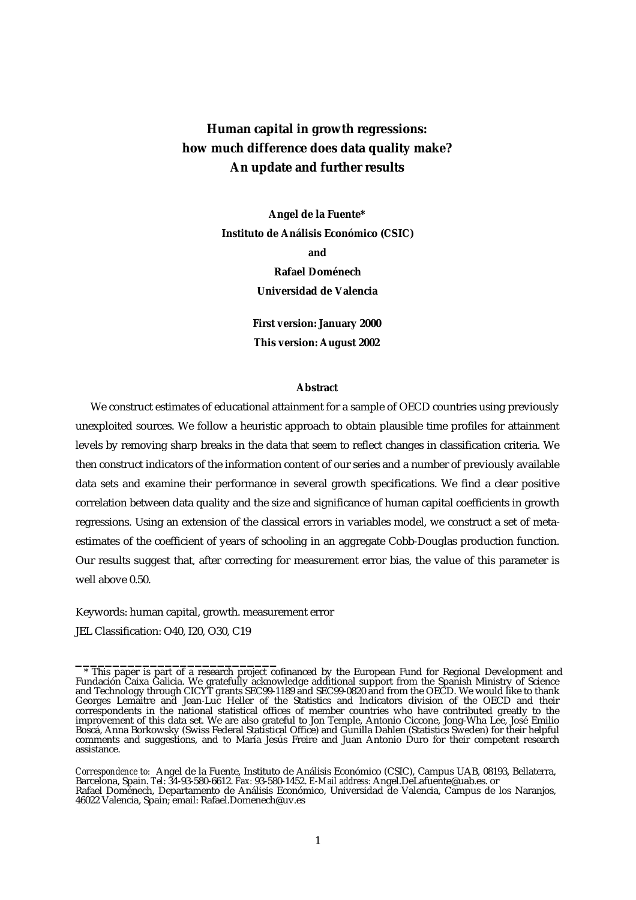## **Human capital in growth regressions: how much difference does data quality make? An update and further results**

**Angel de la Fuente\* Instituto de Análisis Económico (CSIC) and Rafael Doménech Universidad de Valencia**

> **First version: January 2000 This version: August 2002**

#### **Abstract**

We construct estimates of educational attainment for a sample of OECD countries using previously unexploited sources. We follow a heuristic approach to obtain plausible time profiles for attainment levels by removing sharp breaks in the data that seem to reflect changes in classification criteria. We then construct indicators of the information content of our series and a number of previously available data sets and examine their performance in several growth specifications. We find a clear positive correlation between data quality and the size and significance of human capital coefficients in growth regressions. Using an extension of the classical errors in variables model, we construct a set of metaestimates of the coefficient of years of schooling in an aggregate Cobb-Douglas production function. Our results suggest that, after correcting for measurement error bias, the value of this parameter is well above 0.50.

Keywords: human capital, growth. measurement error

JEL Classification: O40, I20, O30, C19

**\_\_\_\_\_\_\_\_\_\_\_\_\_\_\_\_\_\_\_\_\_\_\_\_\_\_\_**

 <sup>\*</sup> This paper is part of a research project cofinanced by the European Fund for Regional Development and Fundación Caixa Galicia. We gratefully acknowledge additional support from the Spanish Ministry of Science and Technology through CICYT grants SEC99-1189 and SEC99-0820 and from the OECD. We would like to thank Georges Lemaitre and Jean-Luc Heller of the Statistics and Indicators division of the OECD and their correspondents in the national statistical offices of member countries who have contributed greatly to the improvement of this data set. We are also grateful to Jon Temple, Antonio Ciccone, Jong-Wha Lee, José Emilio Boscá, Anna Borkowsky (Swiss Federal Statistical Office) and Gunilla Dahlen (Statistics Sweden) for their helpful comments and suggestions, and to María Jesús Freire and Juan Antonio Duro for their competent research assistance.

*Correspondence to:* Angel de la Fuente, Instituto de Análisis Económico (CSIC), Campus UAB, 08193, Bellaterra, Barcelona, Spain. *Tel*: 34-93-580-6612. *Fax:* 93-580-1452. *E-Mail address:* Angel.DeLafuente@uab.es. or Rafael Doménech, Departamento de Análisis Económico, Universidad de Valencia, Campus de los Naranjos, 46022 Valencia, Spain; email: Rafael.Domenech@uv.es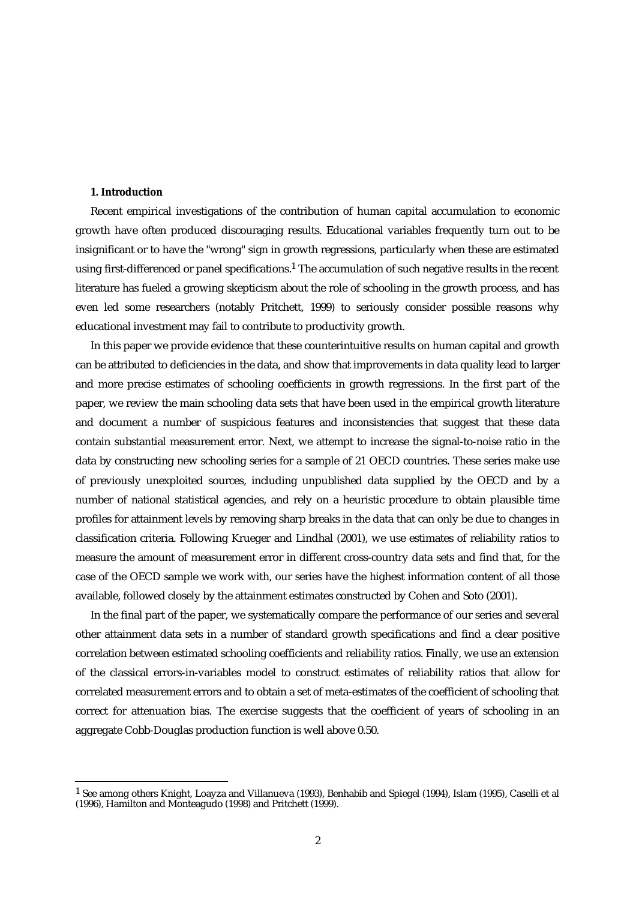## **1. Introduction**

Recent empirical investigations of the contribution of human capital accumulation to economic growth have often produced discouraging results. Educational variables frequently turn out to be insignificant or to have the "wrong" sign in growth regressions, particularly when these are estimated using first-differenced or panel specifications.<sup>1</sup> The accumulation of such negative results in the recent literature has fueled a growing skepticism about the role of schooling in the growth process, and has even led some researchers (notably Pritchett, 1999) to seriously consider possible reasons why educational investment may fail to contribute to productivity growth.

In this paper we provide evidence that these counterintuitive results on human capital and growth can be attributed to deficiencies in the data, and show that improvements in data quality lead to larger and more precise estimates of schooling coefficients in growth regressions. In the first part of the paper, we review the main schooling data sets that have been used in the empirical growth literature and document a number of suspicious features and inconsistencies that suggest that these data contain substantial measurement error. Next, we attempt to increase the signal-to-noise ratio in the data by constructing new schooling series for a sample of 21 OECD countries. These series make use of previously unexploited sources, including unpublished data supplied by the OECD and by a number of national statistical agencies, and rely on a heuristic procedure to obtain plausible time profiles for attainment levels by removing sharp breaks in the data that can only be due to changes in classification criteria. Following Krueger and Lindhal (2001), we use estimates of reliability ratios to measure the amount of measurement error in different cross-country data sets and find that, for the case of the OECD sample we work with, our series have the highest information content of all those available, followed closely by the attainment estimates constructed by Cohen and Soto (2001).

In the final part of the paper, we systematically compare the performance of our series and several other attainment data sets in a number of standard growth specifications and find a clear positive correlation between estimated schooling coefficients and reliability ratios. Finally, we use an extension of the classical errors-in-variables model to construct estimates of reliability ratios that allow for correlated measurement errors and to obtain a set of meta-estimates of the coefficient of schooling that correct for attenuation bias. The exercise suggests that the coefficient of years of schooling in an aggregate Cobb-Douglas production function is well above 0.50.

 $^{\rm 1}$  See among others Knight, Loayza and Villanueva (1993), Benhabib and Spiegel (1994), Islam (1995), Caselli et al (1996), Hamilton and Monteagudo (1998) and Pritchett (1999).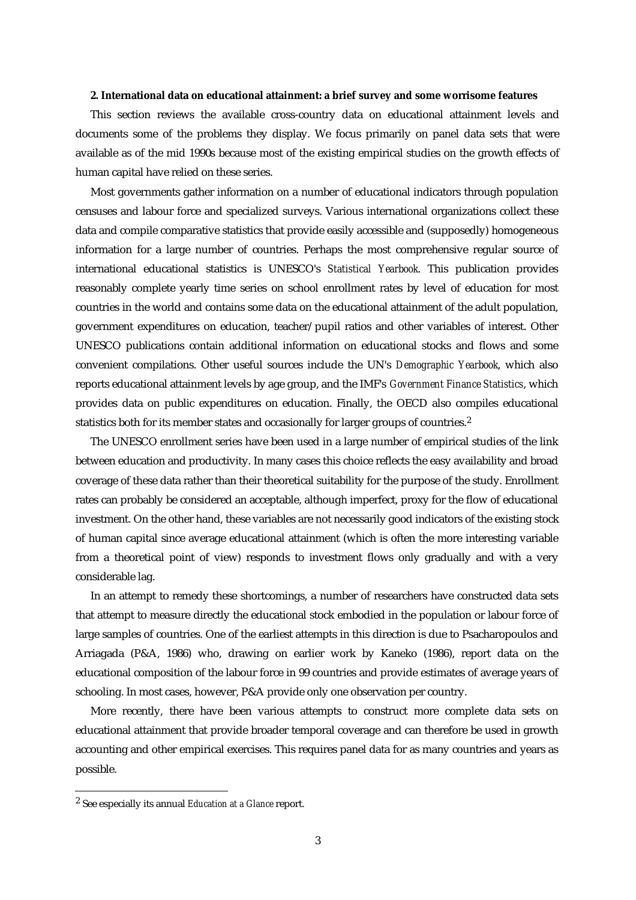#### **2. International data on educational attainment: a brief survey and some worrisome features**

This section reviews the available cross-country data on educational attainment levels and documents some of the problems they display. We focus primarily on panel data sets that were available as of the mid 1990s because most of the existing empirical studies on the growth effects of human capital have relied on these series.

Most governments gather information on a number of educational indicators through population censuses and labour force and specialized surveys. Various international organizations collect these data and compile comparative statistics that provide easily accessible and (supposedly) homogeneous information for a large number of countries. Perhaps the most comprehensive regular source of international educational statistics is UNESCO's *Statistical Yearbook*. This publication provides reasonably complete yearly time series on school enrollment rates by level of education for most countries in the world and contains some data on the educational attainment of the adult population, government expenditures on education, teacher/pupil ratios and other variables of interest. Other UNESCO publications contain additional information on educational stocks and flows and some convenient compilations. Other useful sources include the UN's *Demographic Yearbook*, which also reports educational attainment levels by age group, and the IMF's *Government Finance Statistics*, which provides data on public expenditures on education. Finally, the OECD also compiles educational statistics both for its member states and occasionally for larger groups of countries.<sup>2</sup>

The UNESCO enrollment series have been used in a large number of empirical studies of the link between education and productivity. In many cases this choice reflects the easy availability and broad coverage of these data rather than their theoretical suitability for the purpose of the study. Enrollment rates can probably be considered an acceptable, although imperfect, proxy for the flow of educational investment. On the other hand, these variables are not necessarily good indicators of the existing stock of human capital since average educational attainment (which is often the more interesting variable from a theoretical point of view) responds to investment flows only gradually and with a very considerable lag.

In an attempt to remedy these shortcomings, a number of researchers have constructed data sets that attempt to measure directly the educational stock embodied in the population or labour force of large samples of countries. One of the earliest attempts in this direction is due to Psacharopoulos and Arriagada (P&A, 1986) who, drawing on earlier work by Kaneko (1986), report data on the educational composition of the labour force in 99 countries and provide estimates of average years of schooling. In most cases, however, P&A provide only one observation per country.

More recently, there have been various attempts to construct more complete data sets on educational attainment that provide broader temporal coverage and can therefore be used in growth accounting and other empirical exercises. This requires panel data for as many countries and years as possible.

<sup>2</sup> See especially its annual *Education at a Glance* report.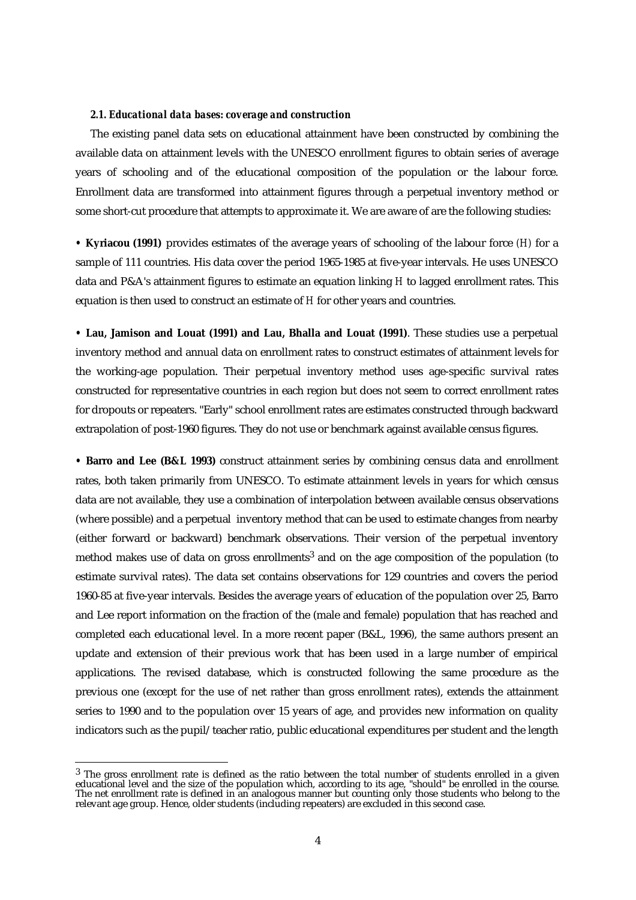#### *2.1. Educational data bases: coverage and construction*

The existing panel data sets on educational attainment have been constructed by combining the available data on attainment levels with the UNESCO enrollment figures to obtain series of average years of schooling and of the educational composition of the population or the labour force. Enrollment data are transformed into attainment figures through a perpetual inventory method or some short-cut procedure that attempts to approximate it. We are aware of are the following studies:

**• Kyriacou (1991)** provides estimates of the average years of schooling of the labour force *(H)* for a sample of 111 countries. His data cover the period 1965-1985 at five-year intervals. He uses UNESCO data and P&A's attainment figures to estimate an equation linking *H* to lagged enrollment rates. This equation is then used to construct an estimate of *H* for other years and countries.

**• Lau, Jamison and Louat (1991) and Lau, Bhalla and Louat (1991)**. These studies use a perpetual inventory method and annual data on enrollment rates to construct estimates of attainment levels for the working-age population. Their perpetual inventory method uses age-specific survival rates constructed for representative countries in each region but does not seem to correct enrollment rates for dropouts or repeaters. "Early" school enrollment rates are estimates constructed through backward extrapolation of post-1960 figures. They do not use or benchmark against available census figures.

**• Barro and Lee (B&L 1993)** construct attainment series by combining census data and enrollment rates, both taken primarily from UNESCO. To estimate attainment levels in years for which census data are not available, they use a combination of interpolation between available census observations (where possible) and a perpetual inventory method that can be used to estimate changes from nearby (either forward or backward) benchmark observations. Their version of the perpetual inventory method makes use of data on gross enrollments<sup>3</sup> and on the age composition of the population (to estimate survival rates). The data set contains observations for 129 countries and covers the period 1960-85 at five-year intervals. Besides the average years of education of the population over 25, Barro and Lee report information on the fraction of the (male and female) population that has reached and completed each educational level. In a more recent paper (B&L, 1996), the same authors present an update and extension of their previous work that has been used in a large number of empirical applications. The revised database, which is constructed following the same procedure as the previous one (except for the use of net rather than gross enrollment rates), extends the attainment series to 1990 and to the population over 15 years of age, and provides new information on quality indicators such as the pupil/teacher ratio, public educational expenditures per student and the length

 $3$  The gross enrollment rate is defined as the ratio between the total number of students enrolled in a given educational level and the size of the population which, according to its age, "should" be enrolled in the course. The net enrollment rate is defined in an analogous manner but counting only those students who belong to the relevant age group. Hence, older students (including repeaters) are excluded in this second case.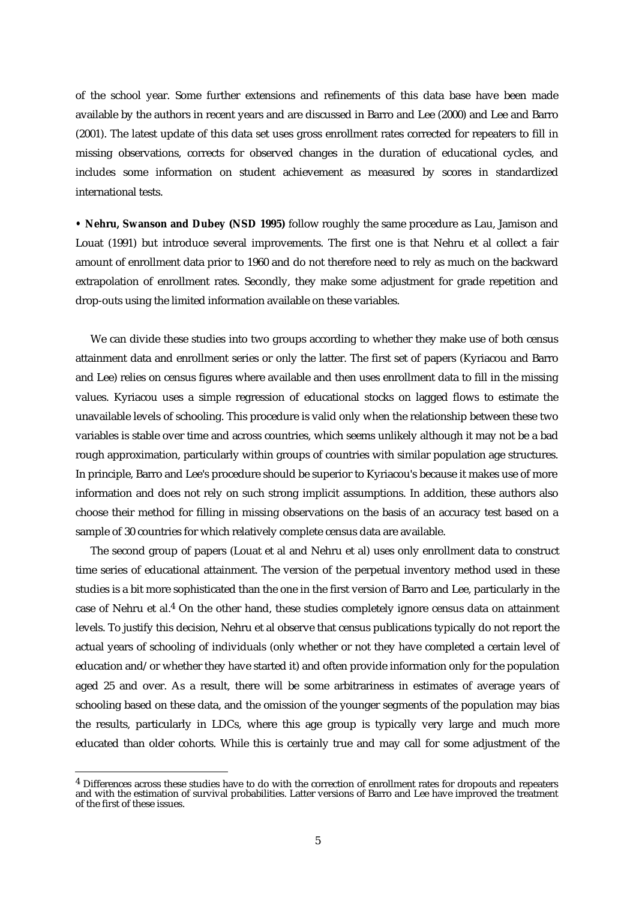of the school year. Some further extensions and refinements of this data base have been made available by the authors in recent years and are discussed in Barro and Lee (2000) and Lee and Barro (2001). The latest update of this data set uses gross enrollment rates corrected for repeaters to fill in missing observations, corrects for observed changes in the duration of educational cycles, and includes some information on student achievement as measured by scores in standardized international tests.

**• Nehru, Swanson and Dubey (NSD 1995)** follow roughly the same procedure as Lau, Jamison and Louat (1991) but introduce several improvements. The first one is that Nehru et al collect a fair amount of enrollment data prior to 1960 and do not therefore need to rely as much on the backward extrapolation of enrollment rates. Secondly, they make some adjustment for grade repetition and drop-outs using the limited information available on these variables.

We can divide these studies into two groups according to whether they make use of both census attainment data and enrollment series or only the latter. The first set of papers (Kyriacou and Barro and Lee) relies on census figures where available and then uses enrollment data to fill in the missing values. Kyriacou uses a simple regression of educational stocks on lagged flows to estimate the unavailable levels of schooling. This procedure is valid only when the relationship between these two variables is stable over time and across countries, which seems unlikely although it may not be a bad rough approximation, particularly within groups of countries with similar population age structures. In principle, Barro and Lee's procedure should be superior to Kyriacou's because it makes use of more information and does not rely on such strong implicit assumptions. In addition, these authors also choose their method for filling in missing observations on the basis of an accuracy test based on a sample of 30 countries for which relatively complete census data are available.

The second group of papers (Louat et al and Nehru et al) uses only enrollment data to construct time series of educational attainment. The version of the perpetual inventory method used in these studies is a bit more sophisticated than the one in the first version of Barro and Lee, particularly in the case of Nehru et al.4 On the other hand, these studies completely ignore census data on attainment levels. To justify this decision, Nehru et al observe that census publications typically do not report the actual years of schooling of individuals (only whether or not they have completed a certain level of education and/or whether they have started it) and often provide information only for the population aged 25 and over. As a result, there will be some arbitrariness in estimates of average years of schooling based on these data, and the omission of the younger segments of the population may bias the results, particularly in LDCs, where this age group is typically very large and much more educated than older cohorts. While this is certainly true and may call for some adjustment of the

<sup>&</sup>lt;sup>4</sup> Differences across these studies have to do with the correction of enrollment rates for dropouts and repeaters and with the estimation of survival probabilities. Latter versions of Barro and Lee have improved the treatment of the first of these issues.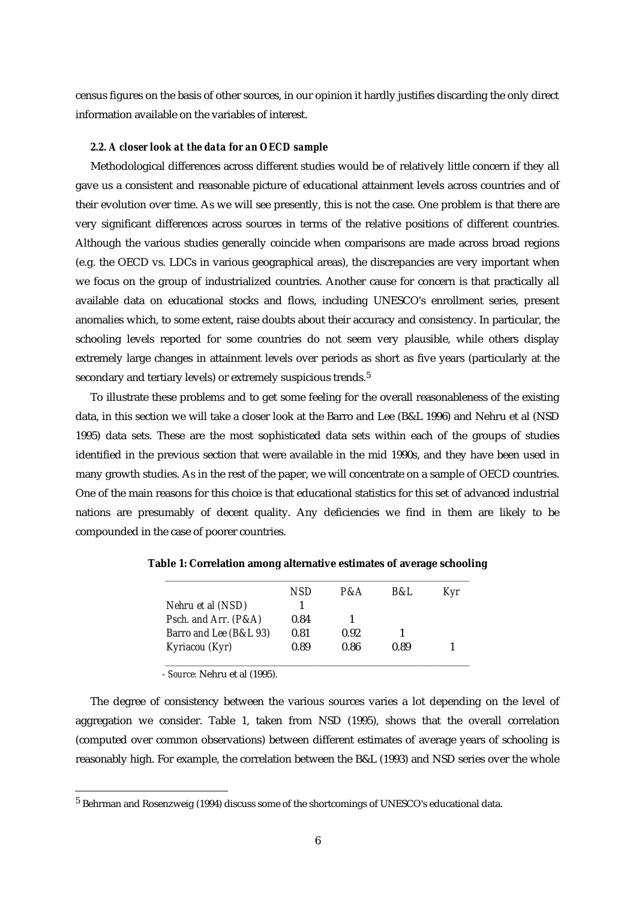census figures on the basis of other sources, in our opinion it hardly justifies discarding the only direct information available on the variables of interest.

#### *2.2. A closer look at the data for an OECD sample*

Methodological differences across different studies would be of relatively little concern if they all gave us a consistent and reasonable picture of educational attainment levels across countries and of their evolution over time. As we will see presently, this is not the case. One problem is that there are very significant differences across sources in terms of the relative positions of different countries. Although the various studies generally coincide when comparisons are made across broad regions (e.g. the OECD vs. LDCs in various geographical areas), the discrepancies are very important when we focus on the group of industrialized countries. Another cause for concern is that practically all available data on educational stocks and flows, including UNESCO's enrollment series, present anomalies which, to some extent, raise doubts about their accuracy and consistency. In particular, the schooling levels reported for some countries do not seem very plausible, while others display extremely large changes in attainment levels over periods as short as five years (particularly at the secondary and tertiary levels) or extremely suspicious trends.<sup>5</sup>

To illustrate these problems and to get some feeling for the overall reasonableness of the existing data, in this section we will take a closer look at the Barro and Lee (B&L 1996) and Nehru et al (NSD 1995) data sets. These are the most sophisticated data sets within each of the groups of studies identified in the previous section that were available in the mid 1990s, and they have been used in many growth studies. As in the rest of the paper, we will concentrate on a sample of OECD countries. One of the main reasons for this choice is that educational statistics for this set of advanced industrial nations are presumably of decent quality. Any deficiencies we find in them are likely to be compounded in the case of poorer countries.

|                        | NSD  | P&A  | B&L  | Kyr |
|------------------------|------|------|------|-----|
| Nehru et al (NSD)      |      |      |      |     |
| Psch. and Arr. (P&A)   | 0.84 |      |      |     |
| Barro and Lee (B&L 93) | 0.81 | 0.92 |      |     |
| Kyriacou (Kyr)         | 0.89 | 0.86 | 0.89 |     |
|                        |      |      |      |     |

**Table 1: Correlation among alternative estimates of average schooling**

*- Source:* Nehru et al (1995).

The degree of consistency between the various sources varies a lot depending on the level of aggregation we consider. Table 1, taken from NSD (1995), shows that the overall correlation (computed over common observations) between different estimates of average years of schooling is reasonably high. For example, the correlation between the B&L (1993) and NSD series over the whole

<sup>5</sup> Behrman and Rosenzweig (1994) discuss some of the shortcomings of UNESCO's educational data.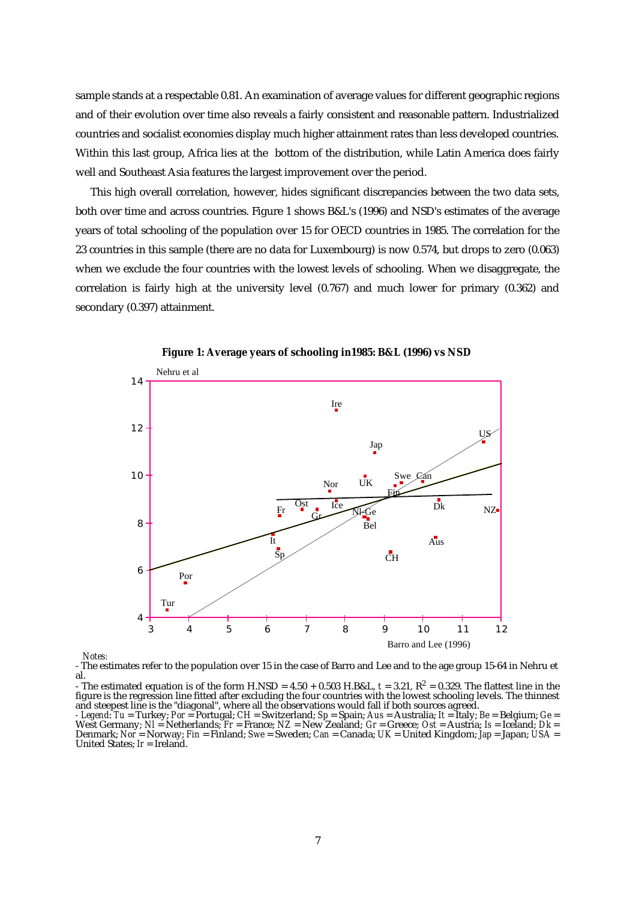sample stands at a respectable 0.81. An examination of average values for different geographic regions and of their evolution over time also reveals a fairly consistent and reasonable pattern. Industrialized countries and socialist economies display much higher attainment rates than less developed countries. Within this last group, Africa lies at the bottom of the distribution, while Latin America does fairly well and Southeast Asia features the largest improvement over the period.

This high overall correlation, however, hides significant discrepancies between the two data sets, both over time and across countries. Figure 1 shows B&L's (1996) and NSD's estimates of the average years of total schooling of the population over 15 for OECD countries in 1985. The correlation for the 23 countries in this sample (there are no data for Luxembourg) is now 0.574, but drops to zero (0.063) when we exclude the four countries with the lowest levels of schooling. When we disaggregate, the correlation is fairly high at the university level (0.767) and much lower for primary (0.362) and secondary (0.397) attainment.





 *Notes:*

- The estimates refer to the population over 15 in the case of Barro and Lee and to the age group 15-64 in Nehru et al.

- The estimated equation is of the form H.NSD =  $4.50 + 0.503$  H.B&L,  $t = 3.21$ ,  $R^2 = 0.329$ . The flattest line in the figure is the regression line fitted after excluding the four countries with the lowest schooling levels. The thinnest and steepest line is the "diagonal", where all the observations would fall if both sources agreed. *- Legend*: *Tu* = Turkey; *Por* = Portugal; *CH* = Switzerland; *Sp* = Spain; *Aus* = Australia; *It* = Italy; *Be* = Belgium; *Ge* =

West Germany; *Nl* = Netherlands; *Fr* = France; *NZ* = New Zealand; *Gr* = Greece; *Ost* = Austria; *Is* = Iceland; *Dk* = Denmark; *Nor* = Norway; *Fin* = Finland; *Swe* = Sweden; *Can* = Canada; *UK* = United Kingdom; *Jap* = Japan; *USA* = United States; *Ir* = Ireland.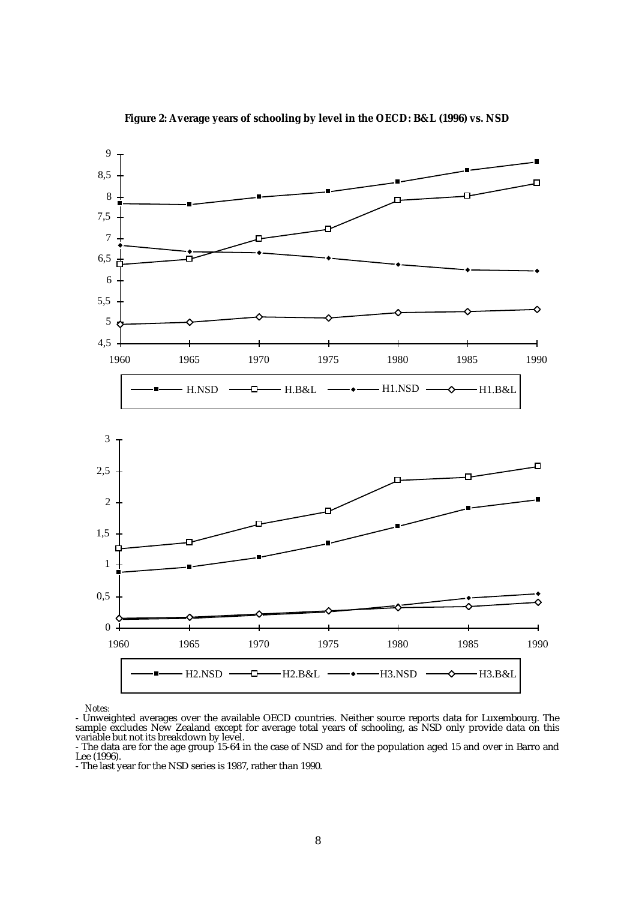

**Figure 2: Average years of schooling by level in the OECD: B&L (1996) vs. NSD**

 *Notes:*

- Unweighted averages over the available OECD countries. Neither source reports data for Luxembourg. The sample excludes New Zealand except for average total years of schooling, as NSD only provide data on this variable but not its breakdown by level.

<sup>-</sup> The data are for the age group 15-64 in the case of NSD and for the population aged 15 and over in Barro and Lee (1996).

<sup>-</sup> The last year for the NSD series is 1987, rather than 1990.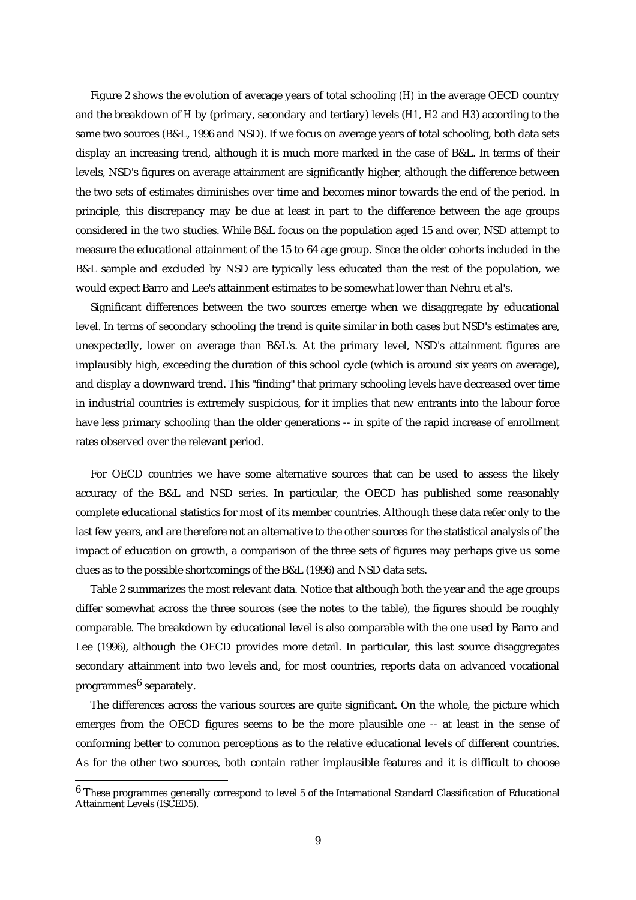Figure 2 shows the evolution of average years of total schooling *(H)* in the average OECD country and the breakdown of *H* by (primary, secondary and tertiary) levels (*H1, H2* and *H3*) according to the same two sources (B&L, 1996 and NSD). If we focus on average years of total schooling, both data sets display an increasing trend, although it is much more marked in the case of B&L. In terms of their levels, NSD's figures on average attainment are significantly higher, although the difference between the two sets of estimates diminishes over time and becomes minor towards the end of the period. In principle, this discrepancy may be due at least in part to the difference between the age groups considered in the two studies. While B&L focus on the population aged 15 and over, NSD attempt to measure the educational attainment of the 15 to 64 age group. Since the older cohorts included in the B&L sample and excluded by NSD are typically less educated than the rest of the population, we would expect Barro and Lee's attainment estimates to be somewhat lower than Nehru et al's.

Significant differences between the two sources emerge when we disaggregate by educational level. In terms of secondary schooling the trend is quite similar in both cases but NSD's estimates are, unexpectedly, lower on average than B&L's. At the primary level, NSD's attainment figures are implausibly high, exceeding the duration of this school cycle (which is around six years on average), and display a downward trend. This "finding" that primary schooling levels have decreased over time in industrial countries is extremely suspicious, for it implies that new entrants into the labour force have less primary schooling than the older generations -- in spite of the rapid increase of enrollment rates observed over the relevant period.

For OECD countries we have some alternative sources that can be used to assess the likely accuracy of the B&L and NSD series. In particular, the OECD has published some reasonably complete educational statistics for most of its member countries. Although these data refer only to the last few years, and are therefore not an alternative to the other sources for the statistical analysis of the impact of education on growth, a comparison of the three sets of figures may perhaps give us some clues as to the possible shortcomings of the B&L (1996) and NSD data sets.

Table 2 summarizes the most relevant data. Notice that although both the year and the age groups differ somewhat across the three sources (see the notes to the table), the figures should be roughly comparable. The breakdown by educational level is also comparable with the one used by Barro and Lee (1996), although the OECD provides more detail. In particular, this last source disaggregates secondary attainment into two levels and, for most countries, reports data on advanced vocational programmes $6$  separately.

The differences across the various sources are quite significant. On the whole, the picture which emerges from the OECD figures seems to be the more plausible one -- at least in the sense of conforming better to common perceptions as to the relative educational levels of different countries. As for the other two sources, both contain rather implausible features and it is difficult to choose

<sup>6</sup> These programmes generally correspond to level 5 of the International Standard Classification of Educational Attainment Levels (ISCED5).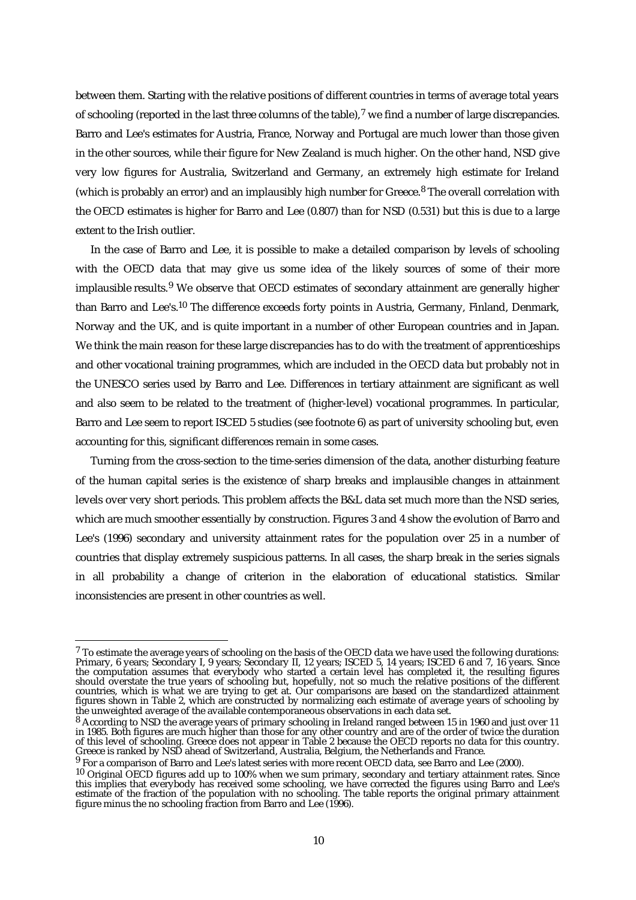between them. Starting with the relative positions of different countries in terms of average total years of schooling (reported in the last three columns of the table),<sup>7</sup> we find a number of large discrepancies. Barro and Lee's estimates for Austria, France, Norway and Portugal are much lower than those given in the other sources, while their figure for New Zealand is much higher. On the other hand, NSD give very low figures for Australia, Switzerland and Germany, an extremely high estimate for Ireland (which is probably an error) and an implausibly high number for Greece.<sup>8</sup> The overall correlation with the OECD estimates is higher for Barro and Lee (0.807) than for NSD (0.531) but this is due to a large extent to the Irish outlier.

In the case of Barro and Lee, it is possible to make a detailed comparison by levels of schooling with the OECD data that may give us some idea of the likely sources of some of their more implausible results.<sup>9</sup> We observe that OECD estimates of secondary attainment are generally higher than Barro and Lee's.10 The difference exceeds forty points in Austria, Germany, Finland, Denmark, Norway and the UK, and is quite important in a number of other European countries and in Japan. We think the main reason for these large discrepancies has to do with the treatment of apprenticeships and other vocational training programmes, which are included in the OECD data but probably not in the UNESCO series used by Barro and Lee. Differences in tertiary attainment are significant as well and also seem to be related to the treatment of (higher-level) vocational programmes. In particular, Barro and Lee seem to report ISCED 5 studies (see footnote 6) as part of university schooling but, even accounting for this, significant differences remain in some cases.

Turning from the cross-section to the time-series dimension of the data, another disturbing feature of the human capital series is the existence of sharp breaks and implausible changes in attainment levels over very short periods. This problem affects the B&L data set much more than the NSD series, which are much smoother essentially by construction. Figures 3 and 4 show the evolution of Barro and Lee's (1996) secondary and university attainment rates for the population over 25 in a number of countries that display extremely suspicious patterns. In all cases, the sharp break in the series signals in all probability a change of criterion in the elaboration of educational statistics. Similar inconsistencies are present in other countries as well.

<sup>&</sup>lt;sup>7</sup> To estimate the average years of schooling on the basis of the OECD data we have used the following durations: Primary, 6 years; Secondary I, 9 years; Secondary II, 12 years; ISCED 5, 14 years; ISCED 6 and 7, 16 years. Since the computation assumes that everybody who started a certain level has completed it, the resulting figures should overstate the true years of schooling but, hopefully, not so much the relative positions of the different countries, which is what we are trying to get at. Our comparisons are based on the standardized attainment figures shown in Table 2, which are constructed by normalizing each estimate of average years of schooling by the unweighted average of the available contemporaneous observations in each data set.

 $^8$  According to NSD the average years of primary schooling in Ireland ranged between 15 in 1960 and just over 11 in 1985. Both figures are much higher than those for any other country and are of the order of twice the duration of this level of schooling. Greece does not appear in Table 2 because the OECD reports no data for this country. Greece is ranked by NSD ahead of Switzerland, Australia, Belgium, the Netherlands and France.

<sup>&</sup>lt;sup>9</sup> For a comparison of Barro and Lee's latest series with more recent OECD data, see Barro and Lee (2000).

 $^{10}$  Original OECD figures add up to 100% when we sum primary, secondary and tertiary attainment rates. Since this implies that everybody has received some schooling, we have corrected the figures using Barro and Lee's estimate of the fraction of the population with no schooling. The table reports the original primary attainment figure minus the no schooling fraction from Barro and Lee (1996).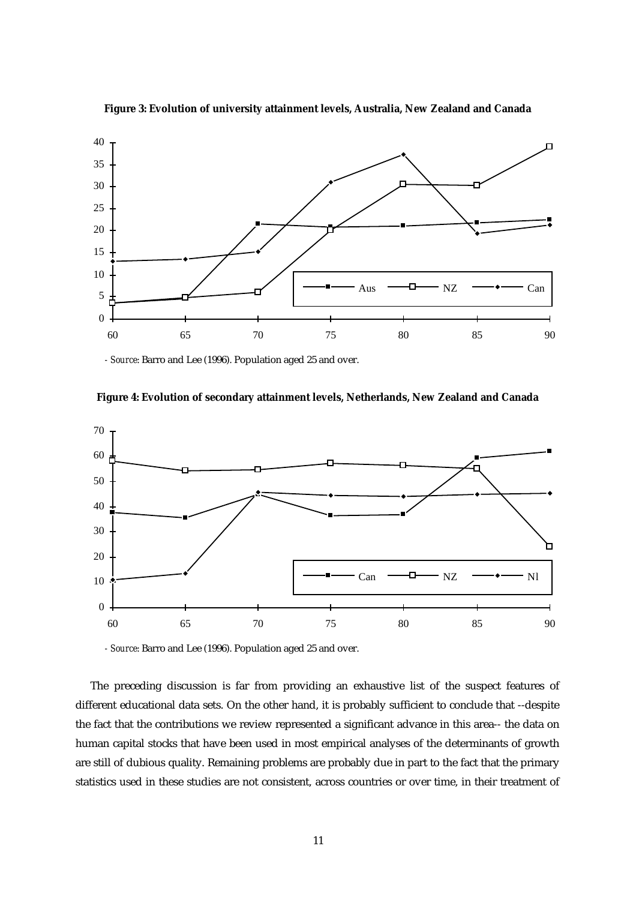



*- Source*: Barro and Lee (1996). Population aged 25 and over.





*- Source*: Barro and Lee (1996). Population aged 25 and over.

The preceding discussion is far from providing an exhaustive list of the suspect features of different educational data sets. On the other hand, it is probably sufficient to conclude that --despite the fact that the contributions we review represented a significant advance in this area-- the data on human capital stocks that have been used in most empirical analyses of the determinants of growth are still of dubious quality. Remaining problems are probably due in part to the fact that the primary statistics used in these studies are not consistent, across countries or over time, in their treatment of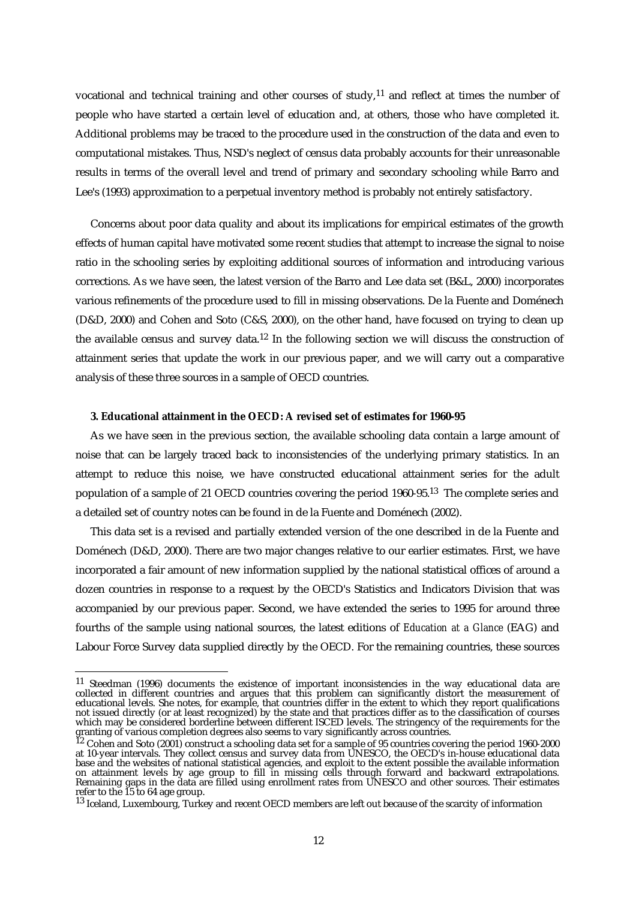vocational and technical training and other courses of study,<sup>11</sup> and reflect at times the number of people who have started a certain level of education and, at others, those who have completed it. Additional problems may be traced to the procedure used in the construction of the data and even to computational mistakes. Thus, NSD's neglect of census data probably accounts for their unreasonable results in terms of the overall level and trend of primary and secondary schooling while Barro and Lee's (1993) approximation to a perpetual inventory method is probably not entirely satisfactory.

Concerns about poor data quality and about its implications for empirical estimates of the growth effects of human capital have motivated some recent studies that attempt to increase the signal to noise ratio in the schooling series by exploiting additional sources of information and introducing various corrections. As we have seen, the latest version of the Barro and Lee data set (B&L, 2000) incorporates various refinements of the procedure used to fill in missing observations. De la Fuente and Doménech (D&D, 2000) and Cohen and Soto (C&S, 2000), on the other hand, have focused on trying to clean up the available census and survey data.12 In the following section we will discuss the construction of attainment series that update the work in our previous paper, and we will carry out a comparative analysis of these three sources in a sample of OECD countries.

## **3. Educational attainment in the OECD: A revised set of estimates for 1960-95**

As we have seen in the previous section, the available schooling data contain a large amount of noise that can be largely traced back to inconsistencies of the underlying primary statistics. In an attempt to reduce this noise, we have constructed educational attainment series for the adult population of a sample of 21 OECD countries covering the period 1960-95.13 The complete series and a detailed set of country notes can be found in de la Fuente and Doménech (2002).

This data set is a revised and partially extended version of the one described in de la Fuente and Doménech (D&D, 2000). There are two major changes relative to our earlier estimates. First, we have incorporated a fair amount of new information supplied by the national statistical offices of around a dozen countries in response to a request by the OECD's Statistics and Indicators Division that was accompanied by our previous paper. Second, we have extended the series to 1995 for around three fourths of the sample using national sources, the latest editions of *Education at a Glance* (EAG) and Labour Force Survey data supplied directly by the OECD. For the remaining countries, these sources

<sup>11</sup> Steedman (1996) documents the existence of important inconsistencies in the way educational data are collected in different countries and argues that this problem can significantly distort the measurement of educational levels. She notes, for example, that countries differ in the extent to which they report qualifications not issued directly (or at least recognized) by the state and that practices differ as to the classification of courses which may be considered borderline between different ISCED levels. The stringency of the requirements for the granting of various completion degrees also seems to vary significantly across countries.

 $^{12}$  Cohen and Soto (2001) construct a schooling data set for a sample of 95 countries covering the period 1960-2000 at 10-year intervals. They collect census and survey data from UNESCO, the OECD's in-house educational data base and the websites of national statistical agencies, and exploit to the extent possible the available information on attainment levels by age group to fill in missing cells through forward and backward extrapolations. Remaining gaps in the data are filled using enrollment rates from UNESCO and other sources. Their estimates refer to the 15 to 64 age group.

<sup>13</sup> Iceland, Luxembourg, Turkey and recent OECD members are left out because of the scarcity of information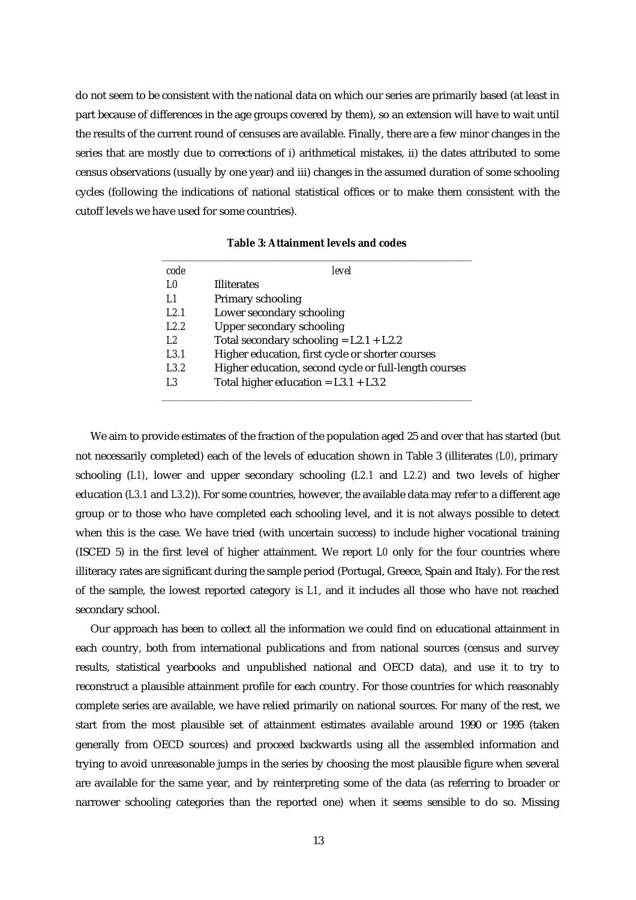do not seem to be consistent with the national data on which our series are primarily based (at least in part because of differences in the age groups covered by them), so an extension will have to wait until the results of the current round of censuses are available. Finally, there are a few minor changes in the series that are mostly due to corrections of i) arithmetical mistakes, ii) the dates attributed to some census observations (usually by one year) and iii) changes in the assumed duration of some schooling cycles (following the indications of national statistical offices or to make them consistent with the cutoff levels we have used for some countries).

| code  | level                                                 |
|-------|-------------------------------------------------------|
| L0    | <b>Illiterates</b>                                    |
| 1.1   | Primary schooling                                     |
| 1.2.1 | Lower secondary schooling                             |
| 1.2.2 | <b>Upper secondary schooling</b>                      |
| L2    | Total secondary schooling = $L2.1 + L2.2$             |
| 1.3.1 | Higher education, first cycle or shorter courses      |
| L3.2  | Higher education, second cycle or full-length courses |
| L3    | Total higher education = $L3.1 + L3.2$                |
|       |                                                       |

**Table 3: Attainment levels and codes**

We aim to provide estimates of the fraction of the population aged 25 and over that has started (but not necessarily completed) each of the levels of education shown in Table 3 (illiterates *(L0)*, primary schooling (*L1)*, lower and upper secondary schooling (*L2.1* and *L2.2*) and two levels of higher education (*L3.1* and *L3.2*)). For some countries, however, the available data may refer to a different age group or to those who have completed each schooling level, and it is not always possible to detect when this is the case. We have tried (with uncertain success) to include higher vocational training (ISCED 5) in the first level of higher attainment. We report *L0* only for the four countries where illiteracy rates are significant during the sample period (Portugal, Greece, Spain and Italy). For the rest of the sample, the lowest reported category is *L1*, and it includes all those who have not reached secondary school.

Our approach has been to collect all the information we could find on educational attainment in each country, both from international publications and from national sources (census and survey results, statistical yearbooks and unpublished national and OECD data), and use it to try to reconstruct a plausible attainment profile for each country. For those countries for which reasonably complete series are available, we have relied primarily on national sources. For many of the rest, we start from the most plausible set of attainment estimates available around 1990 or 1995 (taken generally from OECD sources) and proceed backwards using all the assembled information and trying to avoid unreasonable jumps in the series by choosing the most plausible figure when several are available for the same year, and by reinterpreting some of the data (as referring to broader or narrower schooling categories than the reported one) when it seems sensible to do so. Missing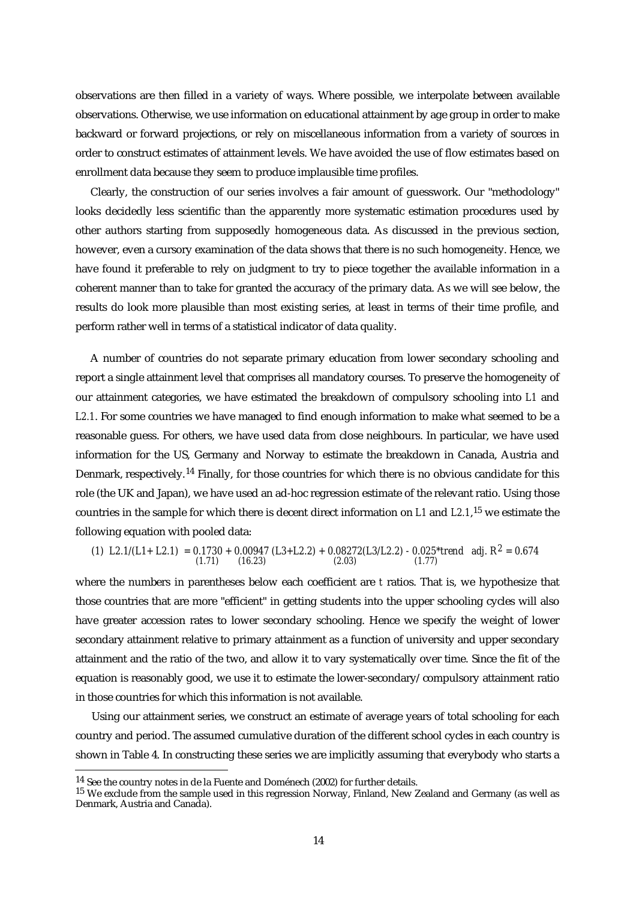observations are then filled in a variety of ways. Where possible, we interpolate between available observations. Otherwise, we use information on educational attainment by age group in order to make backward or forward projections, or rely on miscellaneous information from a variety of sources in order to construct estimates of attainment levels. We have avoided the use of flow estimates based on enrollment data because they seem to produce implausible time profiles.

Clearly, the construction of our series involves a fair amount of guesswork. Our "methodology" looks decidedly less scientific than the apparently more systematic estimation procedures used by other authors starting from supposedly homogeneous data. As discussed in the previous section, however, even a cursory examination of the data shows that there is no such homogeneity. Hence, we have found it preferable to rely on judgment to try to piece together the available information in a coherent manner than to take for granted the accuracy of the primary data. As we will see below, the results do look more plausible than most existing series, at least in terms of their time profile, and perform rather well in terms of a statistical indicator of data quality.

A number of countries do not separate primary education from lower secondary schooling and report a single attainment level that comprises all mandatory courses. To preserve the homogeneity of our attainment categories, we have estimated the breakdown of compulsory schooling into *L1* and *L2.1*. For some countries we have managed to find enough information to make what seemed to be a reasonable guess. For others, we have used data from close neighbours. In particular, we have used information for the US, Germany and Norway to estimate the breakdown in Canada, Austria and Denmark, respectively.14 Finally, for those countries for which there is no obvious candidate for this role (the UK and Japan), we have used an ad-hoc regression estimate of the relevant ratio. Using those countries in the sample for which there is decent direct information on *L1* and *L2.1*, <sup>15</sup> we estimate the following equation with pooled data:

$$
(1) \ L2.1/(L1+L2.1) = 0.1730 + 0.00947 \ (L3+L2.2) + 0.08272(L3/L2.2) - 0.025* \trend adj. R^2 = 0.674
$$
\n
$$
(1.71) \qquad (16.23) \qquad (2.03) \qquad (1.77)
$$

where the numbers in parentheses below each coefficient are *t* ratios. That is, we hypothesize that those countries that are more "efficient" in getting students into the upper schooling cycles will also have greater accession rates to lower secondary schooling. Hence we specify the weight of lower secondary attainment relative to primary attainment as a function of university and upper secondary attainment and the ratio of the two, and allow it to vary systematically over time. Since the fit of the equation is reasonably good, we use it to estimate the lower-secondary/compulsory attainment ratio in those countries for which this information is not available.

Using our attainment series, we construct an estimate of average years of total schooling for each country and period. The assumed cumulative duration of the different school cycles in each country is shown in Table 4. In constructing these series we are implicitly assuming that everybody who starts a

<sup>14</sup> See the country notes in de la Fuente and Doménech (2002) for further details.

<sup>&</sup>lt;sup>15</sup> We exclude from the sample used in this regression Norway, Finland, New Zealand and Germany (as well as Denmark, Austria and Canada).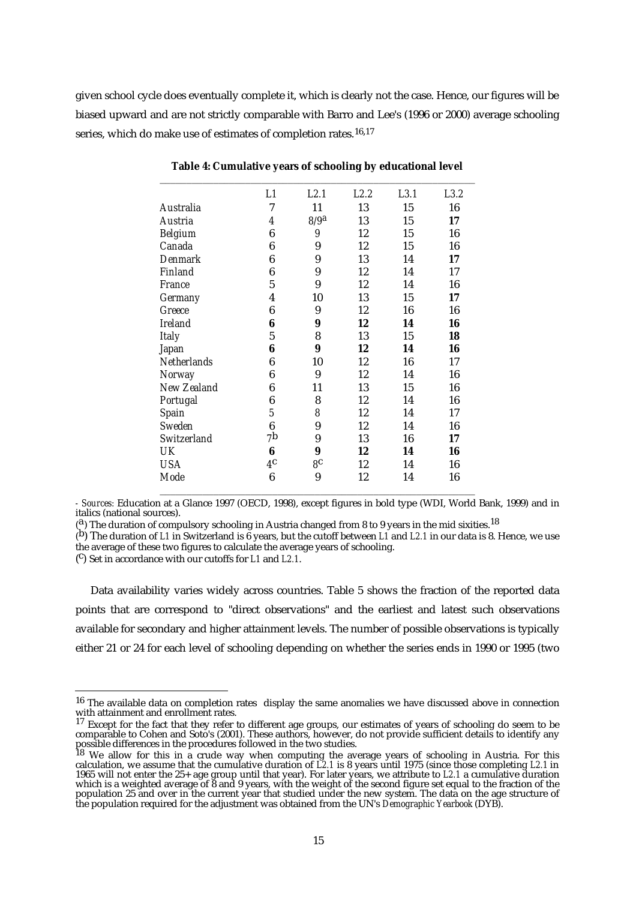given school cycle does eventually complete it, which is clearly not the case. Hence, our figures will be biased upward and are not strictly comparable with Barro and Lee's (1996 or 2000) average schooling series, which do make use of estimates of completion rates.<sup>16,17</sup>

|             | L1               | L2.1 | L2.2 | L3.1 | L3.2 |
|-------------|------------------|------|------|------|------|
| Australia   | 7                | 11   | 13   | 15   | 16   |
| Austria     | 4                | 8/9a | 13   | 15   | 17   |
| Belgium     | 6                | 9    | 12   | 15   | 16   |
| Canada      | 6                | 9    | 12   | 15   | 16   |
| Denmark     | 6                | 9    | 13   | 14   | 17   |
| Finland     | 6                | 9    | 12   | 14   | 17   |
| France      | 5                | 9    | 12   | 14   | 16   |
| Germany     | 4                | 10   | 13   | 15   | 17   |
| Greece      | 6                | 9    | 12   | 16   | 16   |
| Ireland     | 6                | 9    | 12   | 14   | 16   |
| Italy       | 5                | 8    | 13   | 15   | 18   |
| Japan       | 6                | 9    | 12   | 14   | 16   |
| Netherlands | 6                | 10   | 12   | 16   | 17   |
| Norway      | 6                | 9    | 12   | 14   | 16   |
| New Zealand | 6                | 11   | 13   | 15   | 16   |
| Portugal    | 6                | 8    | 12   | 14   | 16   |
| Spain       | 5                | 8    | 12   | 14   | 17   |
| Sweden      | $\bf{6}$         | 9    | 12   | 14   | 16   |
| Switzerland | 7 <sup>b</sup>   | 9    | 13   | 16   | 17   |
| UK          | 6                | 9    | 12   | 14   | 16   |
| <b>USA</b>  | 4 <sup>c</sup>   | 8c   | 12   | 14   | 16   |
| Mode        | $\boldsymbol{6}$ | 9    | 12   | 14   | 16   |

**Table 4: Cumulative years of schooling by educational level**

*- Sources:* Education at a Glance 1997 (OECD, 1998), except figures in bold type (WDI, World Bank, 1999) and in italics (national sources).

 $($ <sup>a</sup>) The duration of compulsory schooling in Austria changed from 8 to 9 years in the mid sixities.<sup>18</sup>

( b) The duration of *L1* in Switzerland is 6 years, but the cutoff between *L1* and *L2.1* in our data is 8. Hence, we use the average of these two figures to calculate the average years of schooling.

( c ) Set in accordance with our cutoffs for *L1* and *L2.1*.

Data availability varies widely across countries. Table 5 shows the fraction of the reported data points that are correspond to "direct observations" and the earliest and latest such observations available for secondary and higher attainment levels. The number of possible observations is typically either 21 or 24 for each level of schooling depending on whether the series ends in 1990 or 1995 (two

 $^{16}$  The available data on completion rates display the same anomalies we have discussed above in connection with attainment and enrollment rates.

 $^{17}$  Except for the fact that they refer to different age groups, our estimates of years of schooling do seem to be comparable to Cohen and Soto's (2001). These authors, however, do not provide sufficient details to identify any possible differences in the procedures followed in the two studies.

<sup>&</sup>lt;sup>18</sup> We allow for this in a crude way when computing the average years of schooling in Austria. For this calculation, we assume that the cumulative duration of *L2.1* is 8 years until 1975 (since those completing *L2.1* in 1965 will not enter the 25+ age group until that year). For later years, we attribute to *L2.1* a cumulative duration which is a weighted average of 8 and 9 years, with the weight of the second figure set equal to the fraction of the population 25 and over in the current year that studied under the new system. The data on the age structure of the population required for the adjustment was obtained from the UN's *Demographic Yearbook* (DYB).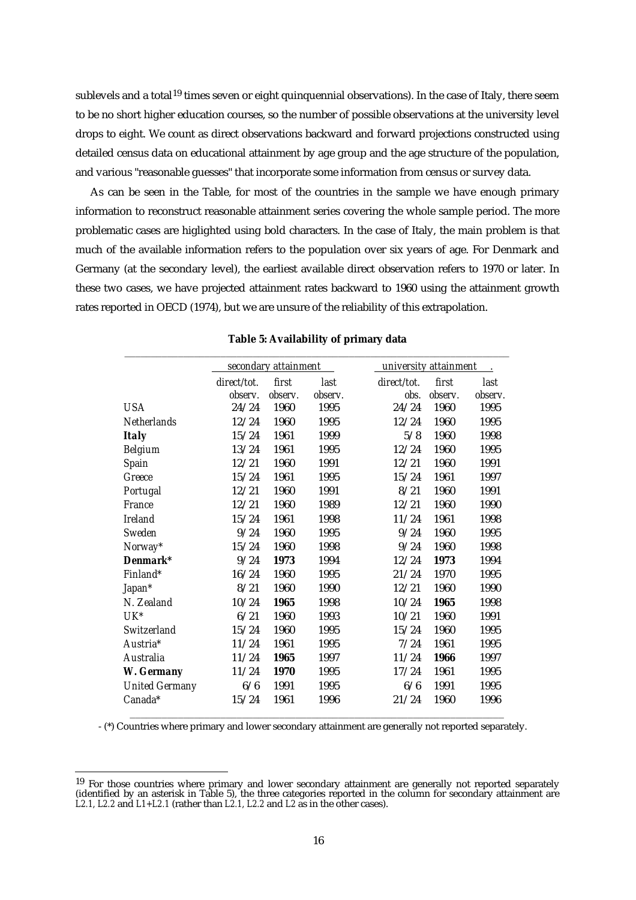sublevels and a total<sup>19</sup> times seven or eight quinquennial observations). In the case of Italy, there seem to be no short higher education courses, so the number of possible observations at the university level drops to eight. We count as direct observations backward and forward projections constructed using detailed census data on educational attainment by age group and the age structure of the population, and various "reasonable guesses" that incorporate some information from census or survey data.

As can be seen in the Table, for most of the countries in the sample we have enough primary information to reconstruct reasonable attainment series covering the whole sample period. The more problematic cases are higlighted using bold characters. In the case of Italy, the main problem is that much of the available information refers to the population over six years of age. For Denmark and Germany (at the secondary level), the earliest available direct observation refers to 1970 or later. In these two cases, we have projected attainment rates backward to 1960 using the attainment growth rates reported in OECD (1974), but we are unsure of the reliability of this extrapolation.

|                       |             | secondary attainment |         | university attainment |         |         |
|-----------------------|-------------|----------------------|---------|-----------------------|---------|---------|
|                       | direct/tot. | first                | last    | direct/tot.           | first   | last    |
|                       | observ.     | observ.              | observ. | obs.                  | observ. | observ. |
| <b>USA</b>            | 24/24       | 1960                 | 1995    | 24/24                 | 1960    | 1995    |
| Netherlands           | 12/24       | 1960                 | 1995    | 12/24                 | 1960    | 1995    |
| <b>Italy</b>          | 15/24       | 1961                 | 1999    | 5/8                   | 1960    | 1998    |
| Belgium               | 13/24       | 1961                 | 1995    | 12/24                 | 1960    | 1995    |
| Spain                 | 12/21       | 1960                 | 1991    | 12/21                 | 1960    | 1991    |
| Greece                | 15/24       | 1961                 | 1995    | 15/24                 | 1961    | 1997    |
| Portugal              | 12/21       | 1960                 | 1991    | 8/21                  | 1960    | 1991    |
| France                | 12/21       | 1960                 | 1989    | 12/21                 | 1960    | 1990    |
| Ireland               | 15/24       | 1961                 | 1998    | 11/24                 | 1961    | 1998    |
| Sweden                | 9/24        | 1960                 | 1995    | 9/24                  | 1960    | 1995    |
| Norway*               | 15/24       | 1960                 | 1998    | 9/24                  | 1960    | 1998    |
| Denmark*              | 9/24        | 1973                 | 1994    | 12/24                 | 1973    | 1994    |
| Finland*              | 16/24       | 1960                 | 1995    | 21/24                 | 1970    | 1995    |
| Japan*                | 8/21        | 1960                 | 1990    | 12/21                 | 1960    | 1990    |
| N. Zealand            | 10/24       | 1965                 | 1998    | 10/24                 | 1965    | 1998    |
| $UK^*$                | 6/21        | 1960                 | 1993    | 10/21                 | 1960    | 1991    |
| Switzerland           | 15/24       | 1960                 | 1995    | 15/24                 | 1960    | 1995    |
| Austria*              | 11/24       | 1961                 | 1995    | 7/24                  | 1961    | 1995    |
| Australia             | 11/24       | 1965                 | 1997    | 11/24                 | 1966    | 1997    |
| W. Germany            | 11/24       | 1970                 | 1995    | 17/24                 | 1961    | 1995    |
| <b>United Germany</b> | 6/6         | 1991                 | 1995    | 6/6                   | 1991    | 1995    |
| Canada*               | 15/24       | 1961                 | 1996    | 21/24                 | 1960    | 1996    |

**Table 5: Availability of primary data**

- (\*) Countries where primary and lower secondary attainment are generally not reported separately.

<sup>&</sup>lt;sup>19</sup> For those countries where primary and lower secondary attainment are generally not reported separately (identified by an asterisk in Table 5), the three categories reported in the column for secondary attainment are *L2.1, L2.2* and *L1+L2.1* (rather than *L2.1, L2.2* and *L2* as in the other cases).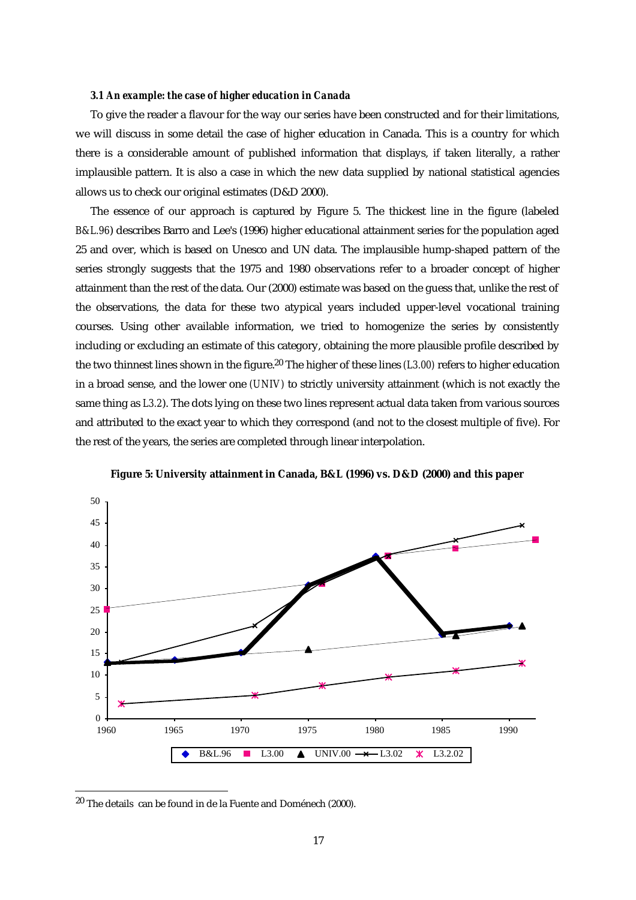#### *3.1 An example: the case of higher education in Canada*

To give the reader a flavour for the way our series have been constructed and for their limitations, we will discuss in some detail the case of higher education in Canada. This is a country for which there is a considerable amount of published information that displays, if taken literally, a rather implausible pattern. It is also a case in which the new data supplied by national statistical agencies allows us to check our original estimates (D&D 2000).

The essence of our approach is captured by Figure 5. The thickest line in the figure (labeled *B&L.96*) describes Barro and Lee's (1996) higher educational attainment series for the population aged 25 and over, which is based on Unesco and UN data. The implausible hump-shaped pattern of the series strongly suggests that the 1975 and 1980 observations refer to a broader concept of higher attainment than the rest of the data. Our (2000) estimate was based on the guess that, unlike the rest of the observations, the data for these two atypical years included upper-level vocational training courses. Using other available information, we tried to homogenize the series by consistently including or excluding an estimate of this category, obtaining the more plausible profile described by the two thinnest lines shown in the figure.20 The higher of these lines *(L3.00)* refers to higher education in a broad sense, and the lower one *(UNIV)* to strictly university attainment (which is not exactly the same thing as *L3.2*). The dots lying on these two lines represent actual data taken from various sources and attributed to the exact year to which they correspond (and not to the closest multiple of five). For the rest of the years, the series are completed through linear interpolation.



**Figure 5: University attainment in Canada, B&L (1996) vs. D&D (2000) and this paper**

20 The details can be found in de la Fuente and Doménech (2000).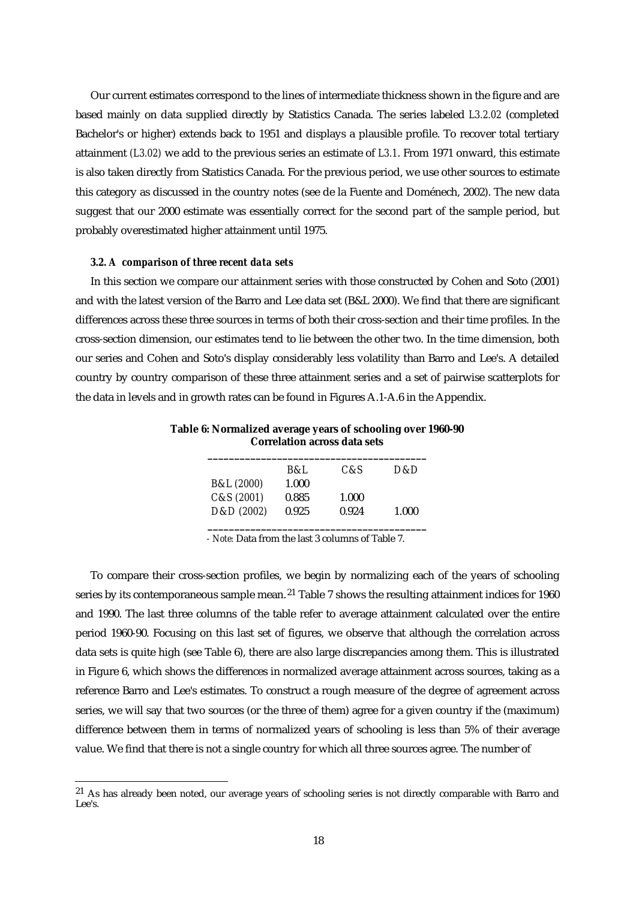Our current estimates correspond to the lines of intermediate thickness shown in the figure and are based mainly on data supplied directly by Statistics Canada. The series labeled *L3.2.02* (completed Bachelor's or higher) extends back to 1951 and displays a plausible profile. To recover total tertiary attainment *(L3.02)* we add to the previous series an estimate of *L3.1*. From 1971 onward, this estimate is also taken directly from Statistics Canada. For the previous period, we use other sources to estimate this category as discussed in the country notes (see de la Fuente and Doménech, 2002). The new data suggest that our 2000 estimate was essentially correct for the second part of the sample period, but probably overestimated higher attainment until 1975.

#### *3.2. A comparison of three recent data sets*

In this section we compare our attainment series with those constructed by Cohen and Soto (2001) and with the latest version of the Barro and Lee data set (B&L 2000). We find that there are significant differences across these three sources in terms of both their cross-section and their time profiles. In the cross-section dimension, our estimates tend to lie between the other two. In the time dimension, both our series and Cohen and Soto's display considerably less volatility than Barro and Lee's. A detailed country by country comparison of these three attainment series and a set of pairwise scatterplots for the data in levels and in growth rates can be found in Figures A.1-A.6 in the Appendix.

| Table 6: Normalized average years of schooling over 1960-90 |  |
|-------------------------------------------------------------|--|
| <b>Correlation across data sets</b>                         |  |
|                                                             |  |

|            | B&L   | C&S   | D&D   |
|------------|-------|-------|-------|
| B&L (2000) | 1.000 |       |       |
| C&S (2001) | 0.885 | 1.000 |       |
| D&D (2002) | 0.925 | 0.924 | 1.000 |
|            |       |       |       |

 *- Note:* Data from the last 3 columns of Table 7.

To compare their cross-section profiles, we begin by normalizing each of the years of schooling series by its contemporaneous sample mean.<sup>21</sup> Table 7 shows the resulting attainment indices for 1960 and 1990. The last three columns of the table refer to average attainment calculated over the entire period 1960-90. Focusing on this last set of figures, we observe that although the correlation across data sets is quite high (see Table 6), there are also large discrepancies among them. This is illustrated in Figure 6, which shows the differences in normalized average attainment across sources, taking as a reference Barro and Lee's estimates. To construct a rough measure of the degree of agreement across series, we will say that two sources (or the three of them) agree for a given country if the (maximum) difference between them in terms of normalized years of schooling is less than 5% of their average value. We find that there is not a single country for which all three sources agree. The number of

<sup>&</sup>lt;sup>21</sup> As has already been noted, our average years of schooling series is not directly comparable with Barro and Lee's.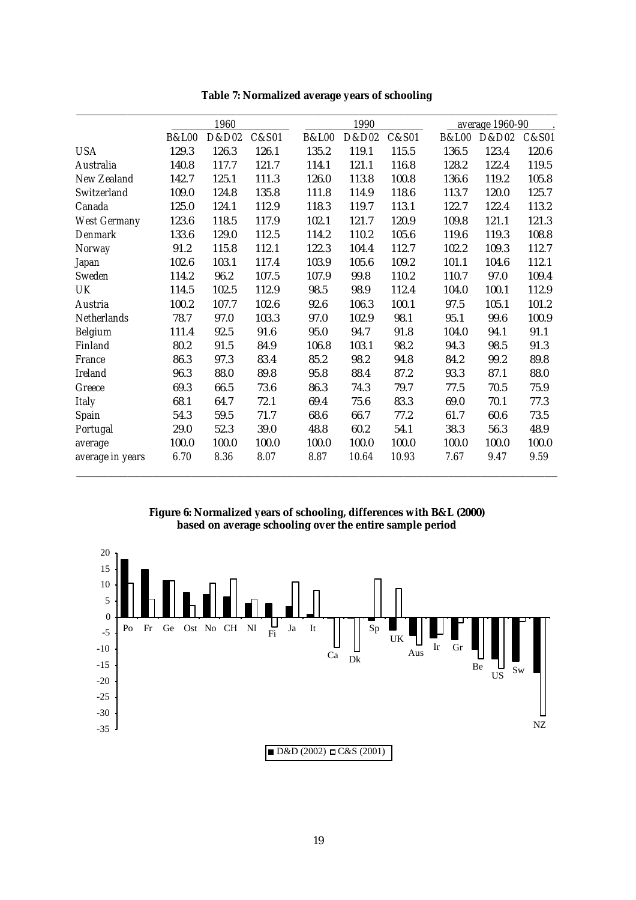|                  |                  | 1960  |       |                  | 1990  |       |                  | average 1960-90 |       |
|------------------|------------------|-------|-------|------------------|-------|-------|------------------|-----------------|-------|
|                  | <b>B&amp;L00</b> | D&D02 | C&S01 | <b>B&amp;L00</b> | D&D02 | C&S01 | <b>B&amp;L00</b> | D&D02           | C&S01 |
| <b>USA</b>       | 129.3            | 126.3 | 126.1 | 135.2            | 119.1 | 115.5 | 136.5            | 123.4           | 120.6 |
| Australia        | 140.8            | 117.7 | 121.7 | 114.1            | 121.1 | 116.8 | 128.2            | 122.4           | 119.5 |
| New Zealand      | 142.7            | 125.1 | 111.3 | 126.0            | 113.8 | 100.8 | 136.6            | 119.2           | 105.8 |
| Switzerland      | 109.0            | 124.8 | 135.8 | 111.8            | 114.9 | 118.6 | 113.7            | 120.0           | 125.7 |
| Canada           | 125.0            | 124.1 | 112.9 | 118.3            | 119.7 | 113.1 | 122.7            | 122.4           | 113.2 |
| West Germany     | 123.6            | 118.5 | 117.9 | 102.1            | 121.7 | 120.9 | 109.8            | 121.1           | 121.3 |
| Denmark          | 133.6            | 129.0 | 112.5 | 114.2            | 110.2 | 105.6 | 119.6            | 119.3           | 108.8 |
| Norway           | 91.2             | 115.8 | 112.1 | 122.3            | 104.4 | 112.7 | 102.2            | 109.3           | 112.7 |
| Japan            | 102.6            | 103.1 | 117.4 | 103.9            | 105.6 | 109.2 | 101.1            | 104.6           | 112.1 |
| Sweden           | 114.2            | 96.2  | 107.5 | 107.9            | 99.8  | 110.2 | 110.7            | 97.0            | 109.4 |
| UK               | 114.5            | 102.5 | 112.9 | 98.5             | 98.9  | 112.4 | 104.0            | 100.1           | 112.9 |
| Austria          | 100.2            | 107.7 | 102.6 | 92.6             | 106.3 | 100.1 | 97.5             | 105.1           | 101.2 |
| Netherlands      | 78.7             | 97.0  | 103.3 | 97.0             | 102.9 | 98.1  | 95.1             | 99.6            | 100.9 |
| Belgium          | 111.4            | 92.5  | 91.6  | 95.0             | 94.7  | 91.8  | 104.0            | 94.1            | 91.1  |
| Finland          | 80.2             | 91.5  | 84.9  | 106.8            | 103.1 | 98.2  | 94.3             | 98.5            | 91.3  |
| France           | 86.3             | 97.3  | 83.4  | 85.2             | 98.2  | 94.8  | 84.2             | 99.2            | 89.8  |
| Ireland          | 96.3             | 88.0  | 89.8  | 95.8             | 88.4  | 87.2  | 93.3             | 87.1            | 88.0  |
| Greece           | 69.3             | 66.5  | 73.6  | 86.3             | 74.3  | 79.7  | 77.5             | 70.5            | 75.9  |
| Italy            | 68.1             | 64.7  | 72.1  | 69.4             | 75.6  | 83.3  | 69.0             | 70.1            | 77.3  |
| Spain            | 54.3             | 59.5  | 71.7  | 68.6             | 66.7  | 77.2  | 61.7             | 60.6            | 73.5  |
| Portugal         | 29.0             | 52.3  | 39.0  | 48.8             | 60.2  | 54.1  | 38.3             | 56.3            | 48.9  |
| average          | 100.0            | 100.0 | 100.0 | 100.0            | 100.0 | 100.0 | 100.0            | 100.0           | 100.0 |
| average in years | 6.70             | 8.36  | 8.07  | 8.87             | 10.64 | 10.93 | 7.67             | 9.47            | 9.59  |

**Table 7: Normalized average years of schooling**

**Figure 6: Normalized years of schooling, differences with B&L (2000) based on average schooling over the entire sample period**

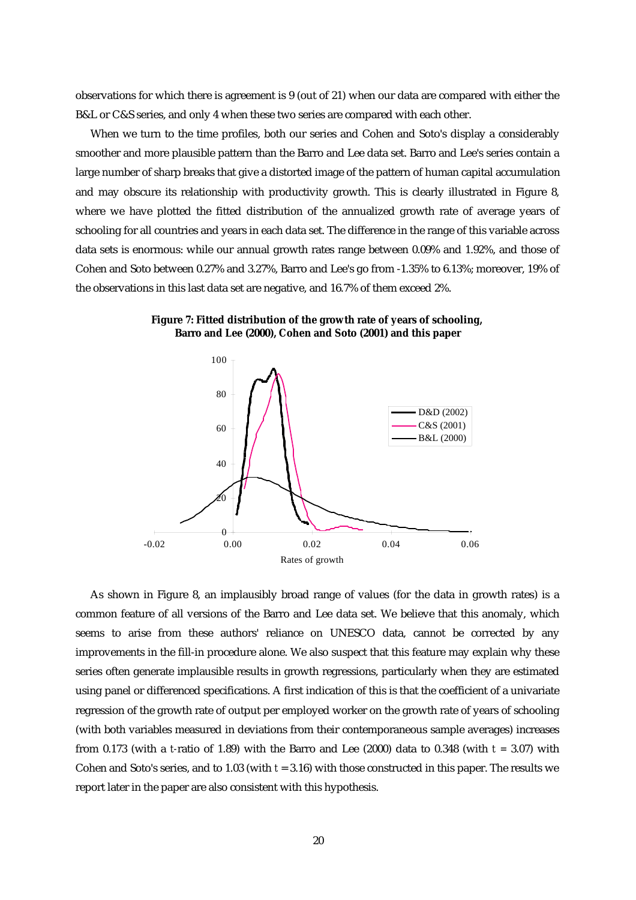observations for which there is agreement is 9 (out of 21) when our data are compared with either the B&L or C&S series, and only 4 when these two series are compared with each other.

When we turn to the time profiles, both our series and Cohen and Soto's display a considerably smoother and more plausible pattern than the Barro and Lee data set. Barro and Lee's series contain a large number of sharp breaks that give a distorted image of the pattern of human capital accumulation and may obscure its relationship with productivity growth. This is clearly illustrated in Figure 8, where we have plotted the fitted distribution of the annualized growth rate of average years of schooling for all countries and years in each data set. The difference in the range of this variable across data sets is enormous: while our annual growth rates range between 0.09% and 1.92%, and those of Cohen and Soto between 0.27% and 3.27%, Barro and Lee's go from -1.35% to 6.13%; moreover, 19% of the observations in this last data set are negative, and 16.7% of them exceed 2%.



**Figure 7: Fitted distribution of the growth rate of years of schooling, Barro and Lee (2000), Cohen and Soto (2001) and this paper**

As shown in Figure 8, an implausibly broad range of values (for the data in growth rates) is a common feature of all versions of the Barro and Lee data set. We believe that this anomaly, which seems to arise from these authors' reliance on UNESCO data, cannot be corrected by any improvements in the fill-in procedure alone. We also suspect that this feature may explain why these series often generate implausible results in growth regressions, particularly when they are estimated using panel or differenced specifications. A first indication of this is that the coefficient of a univariate regression of the growth rate of output per employed worker on the growth rate of years of schooling (with both variables measured in deviations from their contemporaneous sample averages) increases from 0.173 (with a *t-*ratio of 1.89) with the Barro and Lee (2000) data to 0.348 (with *t =* 3.07) with Cohen and Soto's series, and to 1.03 (with *t* = 3.16) with those constructed in this paper. The results we report later in the paper are also consistent with this hypothesis.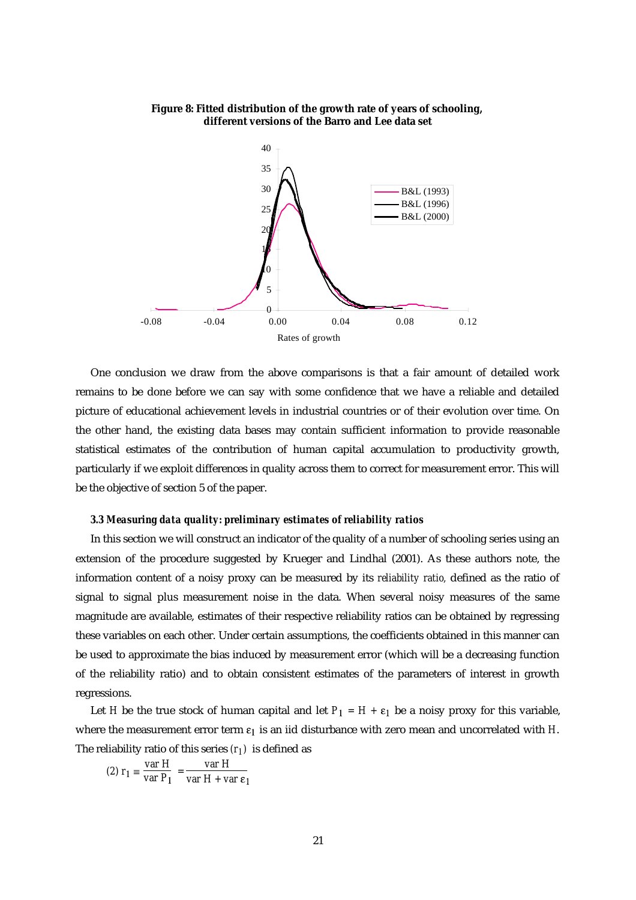## **Figure 8: Fitted distribution of the growth rate of years of schooling, different versions of the Barro and Lee data set**



One conclusion we draw from the above comparisons is that a fair amount of detailed work remains to be done before we can say with some confidence that we have a reliable and detailed picture of educational achievement levels in industrial countries or of their evolution over time. On the other hand, the existing data bases may contain sufficient information to provide reasonable statistical estimates of the contribution of human capital accumulation to productivity growth, particularly if we exploit differences in quality across them to correct for measurement error. This will be the objective of section 5 of the paper.

## *3.3 Measuring data quality: preliminary estimates of reliability ratios*

In this section we will construct an indicator of the quality of a number of schooling series using an extension of the procedure suggested by Krueger and Lindhal (2001). As these authors note, the information content of a noisy proxy can be measured by its *reliability ratio,* defined as the ratio of signal to signal plus measurement noise in the data. When several noisy measures of the same magnitude are available, estimates of their respective reliability ratios can be obtained by regressing these variables on each other. Under certain assumptions, the coefficients obtained in this manner can be used to approximate the bias induced by measurement error (which will be a decreasing function of the reliability ratio) and to obtain consistent estimates of the parameters of interest in growth regressions.

Let *H* be the true stock of human capital and let  $P_1 = H + \varepsilon_1$  be a noisy proxy for this variable, where the measurement error term  $\varepsilon_1$  is an iid disturbance with zero mean and uncorrelated with *H*. The reliability ratio of this series  $(r_1)$  is defined as

$$
(2) r_1 \equiv \frac{\text{var } H}{\text{var } P_1} = \frac{\text{var } H}{\text{var } H + \text{var } \varepsilon_1}
$$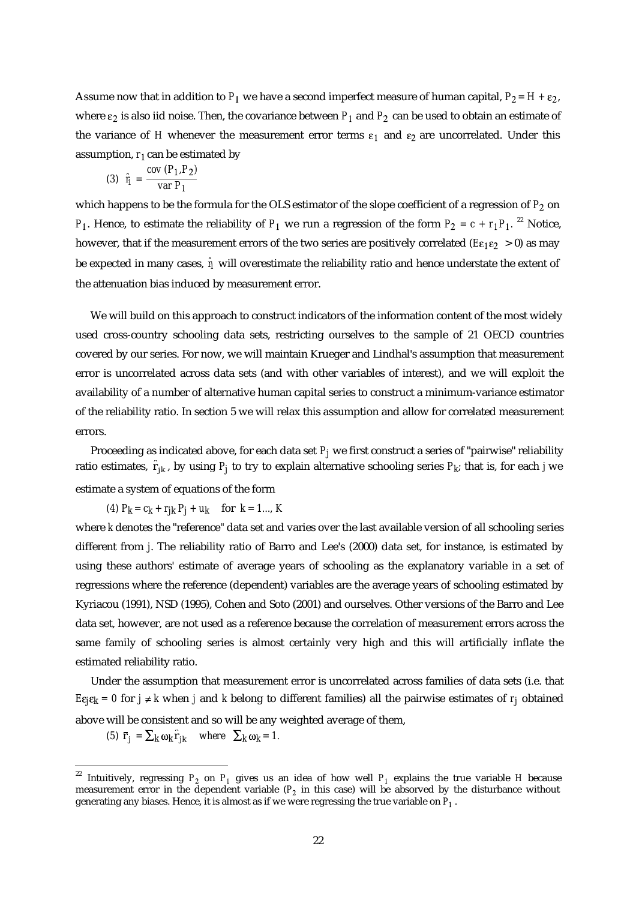Assume now that in addition to  $P_1$  we have a second imperfect measure of human capital,  $P_2 = H + \varepsilon_2$ , where  $\varepsilon_2$  is also iid noise. Then, the covariance between  $P_1$  and  $P_2$  can be used to obtain an estimate of the variance of *H* whenever the measurement error terms  $\varepsilon_1$  and  $\varepsilon_2$  are uncorrelated. Under this assumption,  $r_1$  can be estimated by

(3) 
$$
\hat{r}_1 = \frac{\text{cov}(P_1, P_2)}{\text{var } P_1}
$$

which happens to be the formula for the OLS estimator of the slope coefficient of a regression of  $P_2$  on *P*<sub>1</sub>. Hence, to estimate the reliability of *P*<sub>1</sub> we run a regression of the form *P*<sub>2</sub> = *c* + *r*<sub>1</sub>*P*<sub>1</sub>. <sup>22</sup> Notice, however, that if the measurement errors of the two series are positively correlated ( $E \epsilon_1 \epsilon_2 > 0$ ) as may be expected in many cases,  $\hat{r}_{\rm l}$  will overestimate the reliability ratio and hence understate the extent of the attenuation bias induced by measurement error.

We will build on this approach to construct indicators of the information content of the most widely used cross-country schooling data sets, restricting ourselves to the sample of 21 OECD countries covered by our series. For now, we will maintain Krueger and Lindhal's assumption that measurement error is uncorrelated across data sets (and with other variables of interest), and we will exploit the availability of a number of alternative human capital series to construct a minimum-variance estimator of the reliability ratio. In section 5 we will relax this assumption and allow for correlated measurement errors.

Proceeding as indicated above, for each data set *Pj* we first construct a series of "pairwise" reliability ratio estimates,  $\hat{r}_{jk}$  , by using  $P_j$  to try to explain alternative schooling series  $P_k$ ; that is, for each *j* we estimate a system of equations of the form

(4) 
$$
P_k = c_k + r_{jk} P_j + u_k
$$
 for  $k = 1... K$ 

where *k* denotes the "reference" data set and varies over the last available version of all schooling series different from *j*. The reliability ratio of Barro and Lee's (2000) data set, for instance, is estimated by using these authors' estimate of average years of schooling as the explanatory variable in a set of regressions where the reference (dependent) variables are the average years of schooling estimated by Kyriacou (1991), NSD (1995), Cohen and Soto (2001) and ourselves. Other versions of the Barro and Lee data set, however, are not used as a reference because the correlation of measurement errors across the same family of schooling series is almost certainly very high and this will artificially inflate the estimated reliability ratio.

Under the assumption that measurement error is uncorrelated across families of data sets (i.e. that *E* $\epsilon_j \epsilon_k = 0$  for  $j \neq k$  when  $j$  and  $k$  belong to different families) all the pairwise estimates of  $r_j$  obtained above will be consistent and so will be any weighted average of them,

(5)  $\overline{r}_j = \sum_k \omega_k \hat{r}_{jk}$  where  $\sum_k \omega_k = 1$ .

Intuitively, regressing  $P_2$  on  $P_1$  gives us an idea of how well  $P_1$  explains the true variable *H* because measurement error in the dependent variable  $(P_2$  in this case) will be absorved by the disturbance without generating any biases. Hence, it is almost as if we were regressing the true variable on  $\overline{P_1}$ .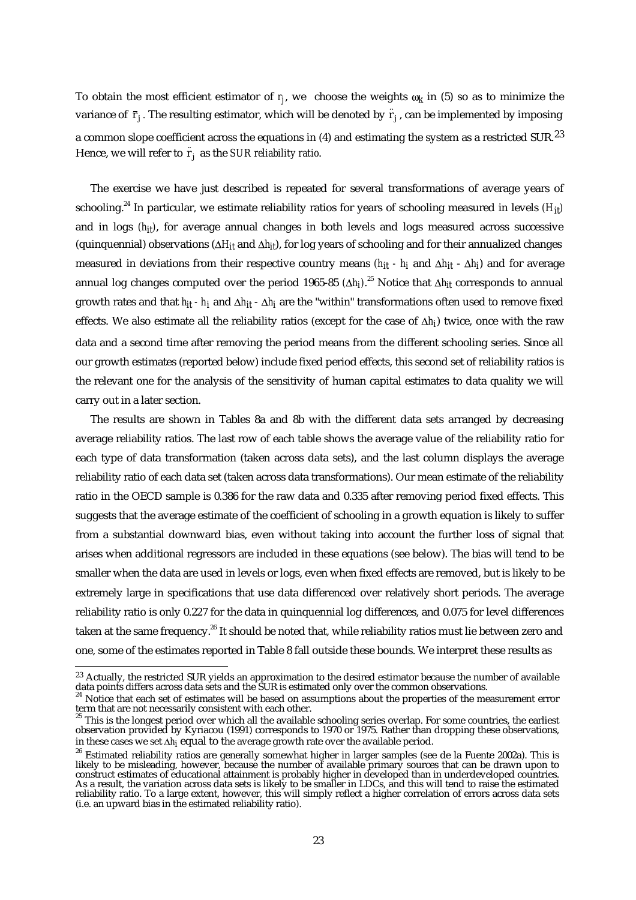To obtain the most efficient estimator of  $r_j$ , we choose the weights  $\omega_k$  in (5) so as to minimize the variance of  $\bar{r}_j$  . The resulting estimator, which will be denoted by  $\hat{r}_j$ , can be implemented by imposing a common slope coefficient across the equations in (4) and estimating the system as a restricted SUR.23 Hence, we will refer to  $\hat{r}_j$  as the *SUR reliability ratio*.

The exercise we have just described is repeated for several transformations of average years of schooling.<sup>24</sup> In particular, we estimate reliability ratios for years of schooling measured in levels *(Hit)* and in logs  $(h_{it})$ , for average annual changes in both levels and logs measured across successive (quinquennial) observations ( $\Delta H_{it}$  and  $\Delta h_{it}$ ), for log years of schooling and for their annualized changes measured in deviations from their respective country means  $(h_{it}$  -  $h_i$  and  $\Delta h_{it}$  -  $\Delta h_i$ ) and for average annual log changes computed over the period 1965-85  $(\Delta h_i)$ . $^{25}$  Notice that  $\Delta h_{it}$  corresponds to annual growth rates and that  $h_{it}$  -  $h_i$  and  $\Delta h_{it}$  -  $\Delta h_i$  are the "within" transformations often used to remove fixed effects. We also estimate all the reliability ratios (except for the case of  $\Delta h_{\rm i}$ ) twice, once with the raw data and a second time after removing the period means from the different schooling series. Since all our growth estimates (reported below) include fixed period effects, this second set of reliability ratios is the relevant one for the analysis of the sensitivity of human capital estimates to data quality we will carry out in a later section.

The results are shown in Tables 8a and 8b with the different data sets arranged by decreasing average reliability ratios. The last row of each table shows the average value of the reliability ratio for each type of data transformation (taken across data sets), and the last column displays the average reliability ratio of each data set (taken across data transformations). Our mean estimate of the reliability ratio in the OECD sample is 0.386 for the raw data and 0.335 after removing period fixed effects. This suggests that the average estimate of the coefficient of schooling in a growth equation is likely to suffer from a substantial downward bias, even without taking into account the further loss of signal that arises when additional regressors are included in these equations (see below). The bias will tend to be smaller when the data are used in levels or logs, even when fixed effects are removed, but is likely to be extremely large in specifications that use data differenced over relatively short periods. The average reliability ratio is only 0.227 for the data in quinquennial log differences, and 0.075 for level differences taken at the same frequency.<sup>26</sup> It should be noted that, while reliability ratios must lie between zero and one, some of the estimates reported in Table 8 fall outside these bounds. We interpret these results as

 $^{23}$  Actually, the restricted SUR yields an approximation to the desired estimator because the number of available data points differs across data sets and the SUR is estimated only over the common observations.

 $^{24}$  Notice that each set of estimates will be based on assumptions about the properties of the measurement error term that are not necessarily consistent with each other.

 $^{25}$  This is the longest period over which all the available schooling series overlap. For some countries, the earliest observation provided by Kyriacou (1991) corresponds to 1970 or 1975. Rather than dropping these observations, in these cases we set  $\Delta h_i$  equal to the average growth rate over the available period.

 $^{\rm 26}$  Estimated reliability ratios are generally somewhat higher in larger samples (see de la Fuente 2002a). This is likely to be misleading, however, because the number of available primary sources that can be drawn upon to construct estimates of educational attainment is probably higher in developed than in underdeveloped countries. As a result, the variation across data sets is likely to be smaller in LDCs, and this will tend to raise the estimated reliability ratio. To a large extent, however, this will simply reflect a higher correlation of errors across data sets (i.e. an upward bias in the estimated reliability ratio).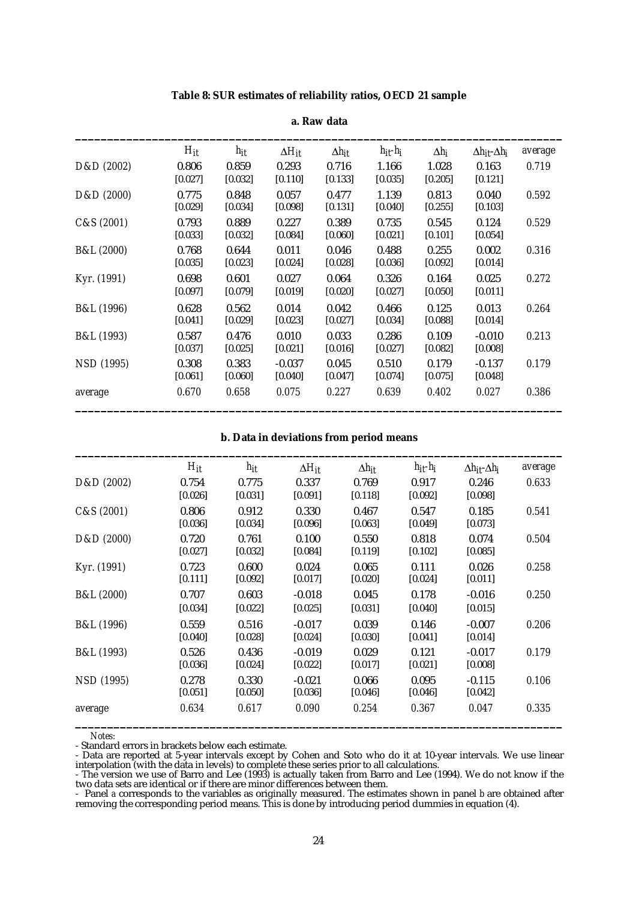|             | $H_{it}$         | $h_{it}$         | $\Delta H_{it}$     | $\Delta h_{it}$  | $h_{it}$ - $h_i$ | $\Delta h_i$     | $\Delta h_{if} \Delta h_i$ | average |
|-------------|------------------|------------------|---------------------|------------------|------------------|------------------|----------------------------|---------|
| D&D (2002)  | 0.806<br>[0.027] | 0.859<br>[0.032] | 0.293<br>[0.110]    | 0.716<br>[0.133] | 1.166<br>[0.035] | 1.028<br>[0.205] | 0.163<br>[0.121]           | 0.719   |
| D&D (2000)  | 0.775<br>[0.029] | 0.848<br>[0.034] | 0.057<br>[0.098]    | 0.477<br>[0.131] | 1.139<br>[0.040] | 0.813<br>[0.255] | 0.040<br>[0.103]           | 0.592   |
| C&S (2001)  | 0.793<br>[0.033] | 0.889<br>[0.032] | 0.227<br>[0.084]    | 0.389<br>[0.060] | 0.735<br>[0.021] | 0.545<br>[0.101] | 0.124<br>$[0.054]$         | 0.529   |
| B&L (2000)  | 0.768<br>[0.035] | 0.644<br>[0.023] | 0.011<br>[0.024]    | 0.046<br>[0.028] | 0.488<br>[0.036] | 0.255<br>[0.092] | 0.002<br>[0.014]           | 0.316   |
| Kyr. (1991) | 0.698<br>[0.097] | 0.601<br>[0.079] | 0.027<br>[0.019]    | 0.064<br>[0.020] | 0.326<br>[0.027] | 0.164<br>[0.050] | 0.025<br>[0.011]           | 0.272   |
| B&L (1996)  | 0.628<br>[0.041] | 0.562<br>[0.029] | 0.014<br>[0.023]    | 0.042<br>[0.027] | 0.466<br>[0.034] | 0.125<br>[0.088] | 0.013<br>[0.014]           | 0.264   |
| B&L (1993)  | 0.587<br>[0.037] | 0.476<br>[0.025] | 0.010<br>[0.021]    | 0.033<br>[0.016] | 0.286<br>[0.027] | 0.109<br>[0.082] | $-0.010$<br>[0.008]        | 0.213   |
| NSD (1995)  | 0.308<br>[0.061] | 0.383<br>[0.060] | $-0.037$<br>[0.040] | 0.045<br>[0.047] | 0.510<br>[0.074] | 0.179<br>[0.075] | $-0.137$<br>[0.048]        | 0.179   |
| average     | 0.670            | 0.658            | 0.075               | 0.227            | 0.639            | 0.402            | 0.027                      | 0.386   |

## **Table 8: SUR estimates of reliability ratios, OECD 21 sample**

**a. Raw data**

# **b. Data in deviations from period means**

|             | $H_{it}$         | $h_{it}$         | $\Delta H_{it}$     | $\Delta h_{it}$  | $h_{it}$ - $h_i$ | $\Delta h_{if} \Delta h_i$ | average |
|-------------|------------------|------------------|---------------------|------------------|------------------|----------------------------|---------|
| D&D (2002)  | 0.754<br>[0.026] | 0.775<br>[0.031] | 0.337<br>[0.091]    | 0.769<br>[0.118] | 0.917<br>[0.092] | 0.246<br>[0.098]           | 0.633   |
| C&S (2001)  | 0.806<br>[0.036] | 0.912<br>[0.034] | 0.330<br>[0.096]    | 0.467<br>[0.063] | 0.547<br>[0.049] | 0.185<br>[0.073]           | 0.541   |
| D&D (2000)  | 0.720<br>[0.027] | 0.761<br>[0.032] | 0.100<br>[0.084]    | 0.550<br>[0.119] | 0.818<br>[0.102] | 0.074<br>[0.085]           | 0.504   |
| Kyr. (1991) | 0.723<br>[0.111] | 0.600<br>[0.092] | 0.024<br>[0.017]    | 0.065<br>[0.020] | 0.111<br>[0.024] | 0.026<br>[0.011]           | 0.258   |
| B&L (2000)  | 0.707<br>[0.034] | 0.603<br>[0.022] | $-0.018$<br>[0.025] | 0.045<br>[0.031] | 0.178<br>[0.040] | $-0.016$<br>[0.015]        | 0.250   |
| B&L (1996)  | 0.559<br>[0.040] | 0.516<br>[0.028] | $-0.017$<br>[0.024] | 0.039<br>[0.030] | 0.146<br>[0.041] | $-0.007$<br>[0.014]        | 0.206   |
| B&L (1993)  | 0.526<br>[0.036] | 0.436<br>[0.024] | $-0.019$<br>[0.022] | 0.029<br>[0.017] | 0.121<br>[0.021] | $-0.017$<br>[0.008]        | 0.179   |
| NSD (1995)  | 0.278<br>[0.051] | 0.330<br>[0.050] | $-0.021$<br>[0.036] | 0.066<br>[0.046] | 0.095<br>[0.046] | $-0.115$<br>[0.042]        | 0.106   |
| average     | 0.634            | 0.617            | 0.090               | 0.254            | 0.367            | 0.047                      | 0.335   |

#### *Notes:*

- Standard errors in brackets below each estimate.

- Data are reported at 5-year intervals except by Cohen and Soto who do it at 10-year intervals. We use linear interpolation (with the data in levels) to complete these series prior to all calculations.

- The version we use of Barro and Lee (1993) is actually taken from Barro and Lee (1994). We do not know if the two data sets are identical or if there are minor differences between them.

- Panel *a* corresponds to the variables as originally measured. The estimates shown in panel *b* are obtained after removing the corresponding period means. This is done by introducing period dummies in equation (4).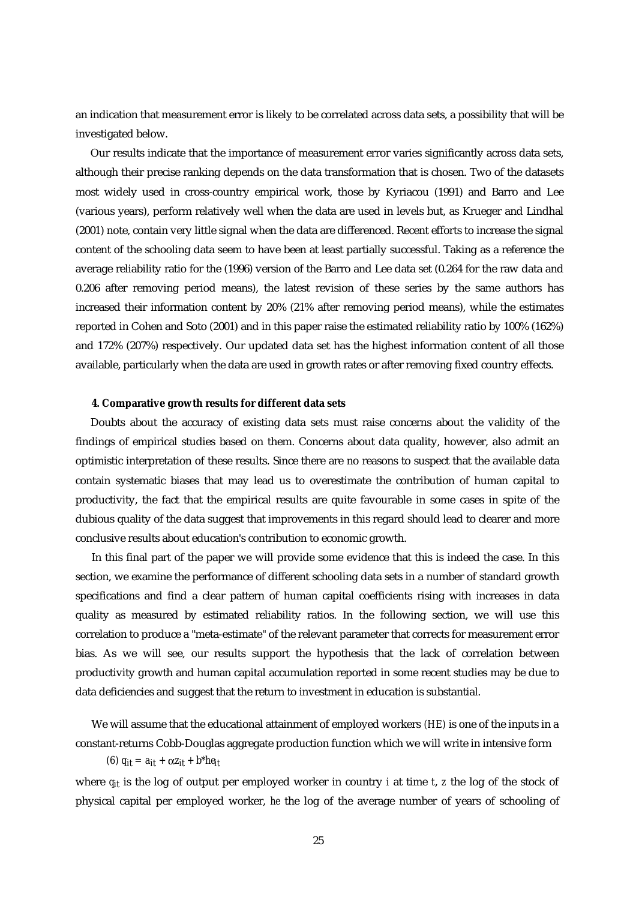an indication that measurement error is likely to be correlated across data sets, a possibility that will be investigated below.

Our results indicate that the importance of measurement error varies significantly across data sets, although their precise ranking depends on the data transformation that is chosen. Two of the datasets most widely used in cross-country empirical work, those by Kyriacou (1991) and Barro and Lee (various years), perform relatively well when the data are used in levels but, as Krueger and Lindhal (2001) note, contain very little signal when the data are differenced. Recent efforts to increase the signal content of the schooling data seem to have been at least partially successful. Taking as a reference the average reliability ratio for the (1996) version of the Barro and Lee data set (0.264 for the raw data and 0.206 after removing period means), the latest revision of these series by the same authors has increased their information content by 20% (21% after removing period means), while the estimates reported in Cohen and Soto (2001) and in this paper raise the estimated reliability ratio by 100% (162%) and 172% (207%) respectively. Our updated data set has the highest information content of all those available, particularly when the data are used in growth rates or after removing fixed country effects.

#### **4. Comparative growth results for different data sets**

Doubts about the accuracy of existing data sets must raise concerns about the validity of the findings of empirical studies based on them. Concerns about data quality, however, also admit an optimistic interpretation of these results. Since there are no reasons to suspect that the available data contain systematic biases that may lead us to overestimate the contribution of human capital to productivity, the fact that the empirical results are quite favourable in some cases in spite of the dubious quality of the data suggest that improvements in this regard should lead to clearer and more conclusive results about education's contribution to economic growth.

In this final part of the paper we will provide some evidence that this is indeed the case. In this section, we examine the performance of different schooling data sets in a number of standard growth specifications and find a clear pattern of human capital coefficients rising with increases in data quality as measured by estimated reliability ratios. In the following section, we will use this correlation to produce a "meta-estimate" of the relevant parameter that corrects for measurement error bias. As we will see, our results support the hypothesis that the lack of correlation between productivity growth and human capital accumulation reported in some recent studies may be due to data deficiencies and suggest that the return to investment in education is substantial.

We will assume that the educational attainment of employed workers *(HE)* is one of the inputs in a constant-returns Cobb-Douglas aggregate production function which we will write in intensive form

*(6)*  $q_{it} = a_{it} + \alpha z_{it} + b^* h e_{it}$ 

where *qit* is the log of output per employed worker in country *i* at time *t*, *z* the log of the stock of physical capital per employed worker, *he* the log of the average number of years of schooling of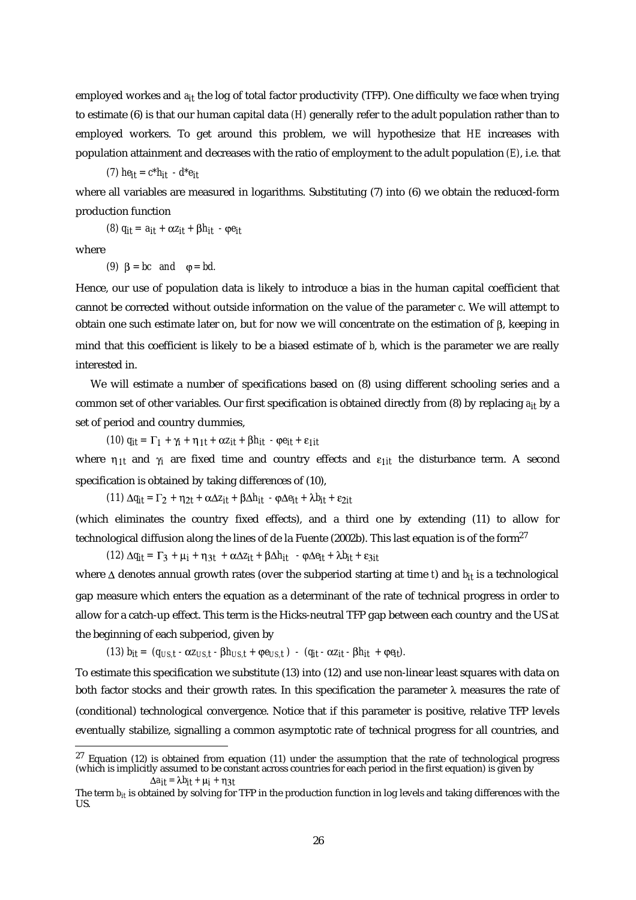employed workes and *ait* the log of total factor productivity (TFP). One difficulty we face when trying to estimate (6) is that our human capital data *(H)* generally refer to the adult population rather than to employed workers. To get around this problem, we will hypothesize that *HE* increases with population attainment and decreases with the ratio of employment to the adult population *(E)*, i.e. that

(7) 
$$
he_{it} = c^*h_{it} - d^*e_{it}
$$

where all variables are measured in logarithms. Substituting (7) into (6) we obtain the reduced-form production function

*(8)*  $q_{it} = a_{it} + \alpha z_{it} + \beta h_{it}$  -  $\varphi e_{it}$ 

where

(9)  $\beta = bc$  and  $\varphi = bd$ .

Hence, our use of population data is likely to introduce a bias in the human capital coefficient that cannot be corrected without outside information on the value of the parameter *c*. We will attempt to obtain one such estimate later on, but for now we will concentrate on the estimation of  $\beta$ , keeping in mind that this coefficient is likely to be a biased estimate of *b*, which is the parameter we are really interested in.

We will estimate a number of specifications based on (8) using different schooling series and a common set of other variables. Our first specification is obtained directly from (8) by replacing *ait* by a set of period and country dummies,

 $(10)$   $q_{it} = \Gamma_1 + \gamma_i + \eta_{1t} + \alpha z_{it} + \beta h_{it} - \varphi e_{it} + \varepsilon_{1it}$ 

where  $\eta_{1t}$  and  $\gamma_i$  are fixed time and country effects and  $\varepsilon_{1it}$  the disturbance term. A second specification is obtained by taking differences of (10),

 $(11) \Delta q_{it} = \Gamma_2 + \eta_{2t} + \alpha \Delta z_{it} + \beta \Delta h_{it} - \varphi \Delta e_{it} + \lambda b_{it} + \varepsilon_{2it}$ 

(which eliminates the country fixed effects), and a third one by extending (11) to allow for technological diffusion along the lines of de la Fuente (2002b). This last equation is of the form<sup>27</sup>

 $(12)$   $\Delta q_{it} = \Gamma_3 + \mu_i + \eta_{3t} + \alpha \Delta z_{it} + \beta \Delta h_{it}$  -  $\varphi \Delta e_{it} + \lambda b_{it} + \varepsilon_{3it}$ 

where  $\Delta$  denotes annual growth rates (over the subperiod starting at time *t*) and  $b_{it}$  is a technological gap measure which enters the equation as a determinant of the rate of technical progress in order to allow for a catch-up effect. This term is the Hicks-neutral TFP gap between each country and the US at the beginning of each subperiod, given by

(13)  $b_{it} = (q_{US,t} - \alpha z_{US,t} - \beta h_{US,t} + \varphi e_{US,t}) - (q_{it} - \alpha z_{it} - \beta h_{it} + \varphi e_{it}).$ 

To estimate this specification we substitute (13) into (12) and use non-linear least squares with data on both factor stocks and their growth rates. In this specification the parameter  $\lambda$  measures the rate of (conditional) technological convergence. Notice that if this parameter is positive, relative TFP levels eventually stabilize, signalling a common asymptotic rate of technical progress for all countries, and

 $27$  Equation (12) is obtained from equation (11) under the assumption that the rate of technological progress (which is implicitly assumed to be constant across countries for each period in the first equation) is given by  $\Delta a_{it} = \lambda b_{it} + \mu_i + \eta_{3t}$ 

The term  $b_{it}$  is obtained by solving for TFP in the production function in log levels and taking differences with the US.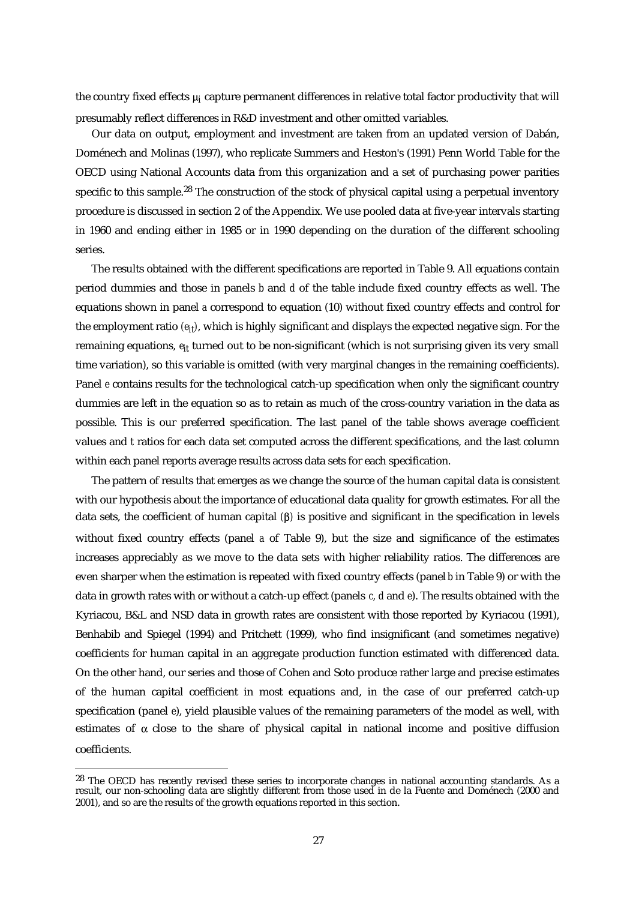the country fixed effects  $\mu_i$  capture permanent differences in relative total factor productivity that will presumably reflect differences in R&D investment and other omitted variables.

Our data on output, employment and investment are taken from an updated version of Dabán, Doménech and Molinas (1997), who replicate Summers and Heston's (1991) Penn World Table for the OECD using National Accounts data from this organization and a set of purchasing power parities specific to this sample.<sup>28</sup> The construction of the stock of physical capital using a perpetual inventory procedure is discussed in section 2 of the Appendix. We use pooled data at five-year intervals starting in 1960 and ending either in 1985 or in 1990 depending on the duration of the different schooling series.

The results obtained with the different specifications are reported in Table 9. All equations contain period dummies and those in panels *b* and *d* of the table include fixed country effects as well. The equations shown in panel *a* correspond to equation (10) without fixed country effects and control for the employment ratio  $(e_{it})$ , which is highly significant and displays the expected negative sign. For the remaining equations, *eit* turned out to be non-significant (which is not surprising given its very small time variation), so this variable is omitted (with very marginal changes in the remaining coefficients). Panel *e* contains results for the technological catch-up specification when only the significant country dummies are left in the equation so as to retain as much of the cross-country variation in the data as possible. This is our preferred specification. The last panel of the table shows average coefficient values and *t* ratios for each data set computed across the different specifications, and the last column within each panel reports average results across data sets for each specification.

The pattern of results that emerges as we change the source of the human capital data is consistent with our hypothesis about the importance of educational data quality for growth estimates. For all the data sets, the coefficient of human capital *( )* is positive and significant in the specification in levels without fixed country effects (panel *a* of Table 9), but the size and significance of the estimates increases appreciably as we move to the data sets with higher reliability ratios. The differences are even sharper when the estimation is repeated with fixed country effects (panel *b* in Table 9) or with the data in growth rates with or without a catch-up effect (panels *c, d* and *e*). The results obtained with the Kyriacou, B&L and NSD data in growth rates are consistent with those reported by Kyriacou (1991), Benhabib and Spiegel (1994) and Pritchett (1999), who find insignificant (and sometimes negative) coefficients for human capital in an aggregate production function estimated with differenced data. On the other hand, our series and those of Cohen and Soto produce rather large and precise estimates of the human capital coefficient in most equations and, in the case of our preferred catch-up specification (panel *e*), yield plausible values of the remaining parameters of the model as well, with estimates of  $\alpha$  close to the share of physical capital in national income and positive diffusion coefficients.

 $28$  The OECD has recently revised these series to incorporate changes in national accounting standards. As a result, our non-schooling data are slightly different from those used in de la Fuente and Doménech (2000 and 2001), and so are the results of the growth equations reported in this section.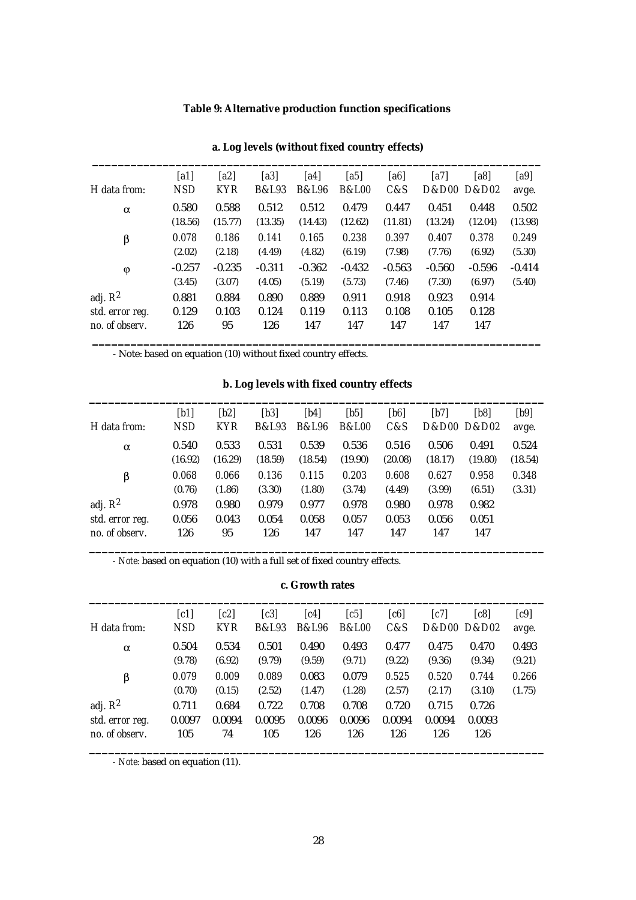## **Table 9: Alternative production function specifications**

|                 | [a1]       | [a2]       | [a3]             | [a4]     | [a5]     | [a6]     | [a7]     | [a8]        | [a9]     |
|-----------------|------------|------------|------------------|----------|----------|----------|----------|-------------|----------|
| H data from:    | <b>NSD</b> | <b>KYR</b> | <b>B&amp;L93</b> | B&L96    | B&L00    | C&S      |          | D&D00 D&D02 | avge.    |
| $\alpha$        | 0.580      | 0.588      | 0.512            | 0.512    | 0.479    | 0.447    | 0.451    | 0.448       | 0.502    |
|                 | (18.56)    | (15.77)    | (13.35)          | (14.43)  | (12.62)  | (11.81)  | (13.24)  | (12.04)     | (13.98)  |
| β               | 0.078      | 0.186      | 0.141            | 0.165    | 0.238    | 0.397    | 0.407    | 0.378       | 0.249    |
|                 | (2.02)     | (2.18)     | (4.49)           | (4.82)   | (6.19)   | (7.98)   | (7.76)   | (6.92)      | (5.30)   |
| $\varphi$       | $-0.257$   | $-0.235$   | $-0.311$         | $-0.362$ | $-0.432$ | $-0.563$ | $-0.560$ | $-0.596$    | $-0.414$ |
|                 | (3.45)     | (3.07)     | (4.05)           | (5.19)   | (5.73)   | (7.46)   | (7.30)   | (6.97)      | (5.40)   |
| adj. $R^2$      | 0.881      | 0.884      | 0.890            | 0.889    | 0.911    | 0.918    | 0.923    | 0.914       |          |
| std. error reg. | 0.129      | 0.103      | 0.124            | 0.119    | 0.113    | 0.108    | 0.105    | 0.128       |          |
| no. of observ.  | 126        | 95         | 126              | 147      | 147      | 147      | 147      | 147         |          |

## **a. Log levels (without fixed country effects)**

- Note: based on equation (10) without fixed country effects.

## **b. Log levels with fixed country effects**

|                 | [b1]    | [b2]       | [b3]             | [b4]             | [b5]             | [b6]    | [b7]    | [b8]    | [b9]    |
|-----------------|---------|------------|------------------|------------------|------------------|---------|---------|---------|---------|
| H data from:    | NSD     | <b>KYR</b> | <b>B&amp;L93</b> | <b>B&amp;L96</b> | <b>B&amp;L00</b> | C&S     | D&D00   | D&D02   | avge.   |
| $\alpha$        | 0.540   | 0.533      | 0.531            | 0.539            | 0.536            | 0.516   | 0.506   | 0.491   | 0.524   |
|                 | (16.92) | (16.29)    | (18.59)          | (18.54)          | (19.90)          | (20.08) | (18.17) | (19.80) | (18.54) |
| β               | 0.068   | 0.066      | 0.136            | 0.115            | 0.203            | 0.608   | 0.627   | 0.958   | 0.348   |
|                 | (0.76)  | (1.86)     | (3.30)           | (1.80)           | (3.74)           | (4.49)  | (3.99)  | (6.51)  | (3.31)  |
| adj. $R^2$      | 0.978   | 0.980      | 0.979            | 0.977            | 0.978            | 0.980   | 0.978   | 0.982   |         |
| std. error reg. | 0.056   | 0.043      | 0.054            | 0.058            | 0.057            | 0.053   | 0.056   | 0.051   |         |
| no. of observ.  | 126     | 95         | 126              | 147              | 147              | 147     | 147     | 147     |         |

*- Note:* based on equation (10) with a full set of fixed country effects.

| c. Growth rates |                    |            |                  |        |        |        |        |        |        |
|-----------------|--------------------|------------|------------------|--------|--------|--------|--------|--------|--------|
|                 | $\lceil c1 \rceil$ | [c2]       | [c3]             | [c4]   | [c5]   | [c6]   | [c7]   | [c8]   | [c9]   |
| H data from:    | <b>NSD</b>         | <b>KYR</b> | <b>B&amp;L93</b> | B&L96  | B&L00  | C&S    | D&D00  | D&D02  | avge.  |
| $\alpha$        | 0.504              | 0.534      | 0.501            | 0.490  | 0.493  | 0.477  | 0.475  | 0.470  | 0.493  |
|                 | (9.78)             | (6.92)     | (9.79)           | (9.59) | (9.71) | (9.22) | (9.36) | (9.34) | (9.21) |
| β               | 0.079              | 0.009      | 0.089            | 0.083  | 0.079  | 0.525  | 0.520  | 0.744  | 0.266  |
|                 | (0.70)             | (0.15)     | (2.52)           | (1.47) | (1.28) | (2.57) | (2.17) | (3.10) | (1.75) |
| adj. $R^2$      | 0.711              | 0.684      | 0.722            | 0.708  | 0.708  | 0.720  | 0.715  | 0.726  |        |
| std. error reg. | 0.0097             | 0.0094     | 0.0095           | 0.0096 | 0.0096 | 0.0094 | 0.0094 | 0.0093 |        |
| no. of observ.  | 105                | 74         | 105              | 126    | 126    | 126    | 126    | 126    |        |

**\_\_\_\_\_\_\_\_\_\_\_\_\_\_\_\_\_\_\_\_\_\_\_\_\_\_\_\_\_\_\_\_\_\_\_\_\_\_\_\_\_\_\_\_\_\_\_\_\_\_\_\_\_\_\_\_\_\_\_\_\_\_\_\_\_\_\_\_\_\_\_**

*- Note:* based on equation (11).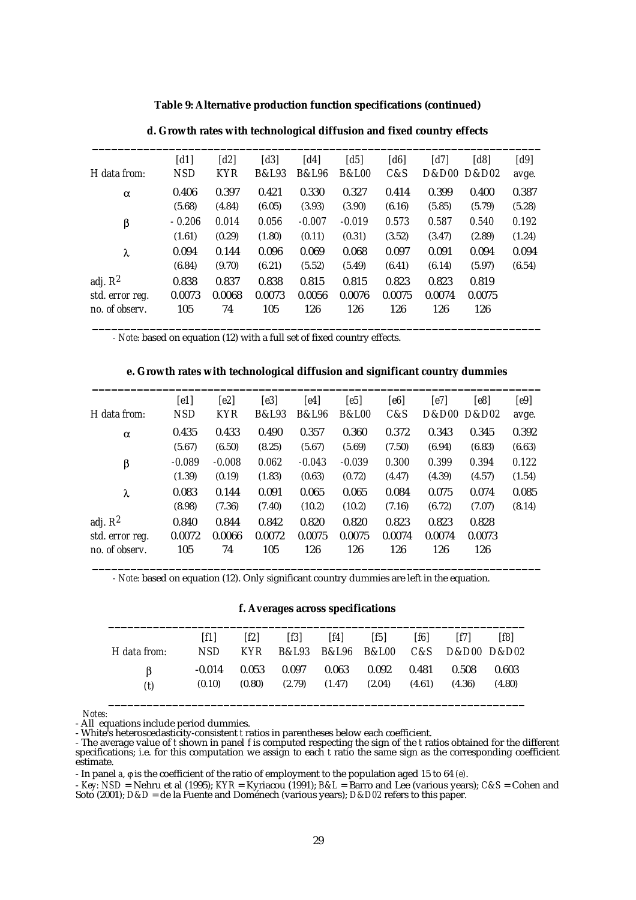|  |  |  |  |  | Table 9: Alternative production function specifications (continued) |  |
|--|--|--|--|--|---------------------------------------------------------------------|--|
|--|--|--|--|--|---------------------------------------------------------------------|--|

|                 | [d1]       | $\lceil d2 \rceil$ | [d3]   | $\lceil d4 \rceil$ | [d5]             | $\lceil d6 \rceil$ | $\lceil d7 \rceil$ | $\lceil d8 \rceil$ | $\lceil d9 \rceil$ |
|-----------------|------------|--------------------|--------|--------------------|------------------|--------------------|--------------------|--------------------|--------------------|
| H data from:    | <b>NSD</b> | <b>KYR</b>         | B&L93  | B&L96              | <b>B&amp;L00</b> | C&S                |                    | D&D00 D&D02        | avge.              |
| $\alpha$        | 0.406      | 0.397              | 0.421  | 0.330              | 0.327            | 0.414              | 0.399              | 0.400              | 0.387              |
|                 | (5.68)     | (4.84)             | (6.05) | (3.93)             | (3.90)           | (6.16)             | (5.85)             | (5.79)             | (5.28)             |
| β               | $-0.206$   | 0.014              | 0.056  | $-0.007$           | $-0.019$         | 0.573              | 0.587              | 0.540              | 0.192              |
|                 | (1.61)     | (0.29)             | (1.80) | (0.11)             | (0.31)           | (3.52)             | (3.47)             | (2.89)             | (1.24)             |
| λ               | 0.094      | 0.144              | 0.096  | 0.069              | 0.068            | 0.097              | 0.091              | 0.094              | 0.094              |
|                 | (6.84)     | (9.70)             | (6.21) | (5.52)             | (5.49)           | (6.41)             | (6.14)             | (5.97)             | (6.54)             |
| adj. $R^2$      | 0.838      | 0.837              | 0.838  | 0.815              | 0.815            | 0.823              | 0.823              | 0.819              |                    |
| std. error reg. | 0.0073     | 0.0068             | 0.0073 | 0.0056             | 0.0076           | 0.0075             | 0.0074             | 0.0075             |                    |
| no. of observ.  | 105        | 74                 | 105    | 126                | 126              | 126                | 126                | 126                |                    |

| d. Growth rates with technological diffusion and fixed country effects |  |  |  |  |  |  |
|------------------------------------------------------------------------|--|--|--|--|--|--|
|------------------------------------------------------------------------|--|--|--|--|--|--|

*- Note:* based on equation (12) with a full set of fixed country effects.

## **e. Growth rates with technological diffusion and significant country dummies**

|                 | [e1]       | [e2]       | [e3]   | [e4]     | $[$ e5]  | [66]   | [e7]   | [e8]        | [e9]   |
|-----------------|------------|------------|--------|----------|----------|--------|--------|-------------|--------|
| H data from:    | <b>NSD</b> | <b>KYR</b> | B&L93  | B&L96    | B&L00    | C&S    |        | D&D00 D&D02 | avge.  |
| $\alpha$        | 0.435      | 0.433      | 0.490  | 0.357    | 0.360    | 0.372  | 0.343  | 0.345       | 0.392  |
|                 | (5.67)     | (6.50)     | (8.25) | (5.67)   | (5.69)   | (7.50) | (6.94) | (6.83)      | (6.63) |
| β               | $-0.089$   | $-0.008$   | 0.062  | $-0.043$ | $-0.039$ | 0.300  | 0.399  | 0.394       | 0.122  |
|                 | (1.39)     | (0.19)     | (1.83) | (0.63)   | (0.72)   | (4.47) | (4.39) | (4.57)      | (1.54) |
| λ               | 0.083      | 0.144      | 0.091  | 0.065    | 0.065    | 0.084  | 0.075  | 0.074       | 0.085  |
|                 | (8.98)     | (7.36)     | (7.40) | (10.2)   | (10.2)   | (7.16) | (6.72) | (7.07)      | (8.14) |
| adj. $R^2$      | 0.840      | 0.844      | 0.842  | 0.820    | 0.820    | 0.823  | 0.823  | 0.828       |        |
| std. error reg. | 0.0072     | 0.0066     | 0.0072 | 0.0075   | 0.0075   | 0.0074 | 0.0074 | 0.0073      |        |
| no. of observ.  | 105        | 74         | 105    | 126      | 126      | 126    | 126    | 126         |        |

*- Note:* based on equation (12). Only significant country dummies are left in the equation.

#### **f. Averages across specifications**

| H data from: | [f1]<br>NSD. | [f2]<br>KYR. | [f3]<br>B&L93 | [f4]<br>B&L96 B&L00 | [f5]   | [f6]   | lf71<br>C&S D&D00 D&D02 | [f8]   |
|--------------|--------------|--------------|---------------|---------------------|--------|--------|-------------------------|--------|
| B            | $-0.014$     | 0.053        | 0.097         | 0.063               | 0.092  | 0.481  | 0.508                   | 0.603  |
| (t)          | (0.10)       | (0.80)       | (2.79)        | (1.47)              | (2.04) | (4.61) | (4.36)                  | (4.80) |

 *Notes:*

- All equations include period dummies.

- White's heteroscedasticity-consistent *t* ratios in parentheses below each coefficient.

- The average value of *t* shown in panel *f* is computed respecting the sign of the *t* ratios obtained for the different specifications; i.e. for this computation we assign to each *t* ratio the same sign as the corresponding coefficient estimate.

- In panel *a*,  $\varphi$  is the coefficient of the ratio of employment to the population aged 15 to 64 *(e)*.

- *Key: NSD* = Nehru et al (1995); *KYR* = Kyriacou (1991); *B&L* = Barro and Lee (various years); *C&S* = Cohen and Soto (2001); *D&D* = de la Fuente and Doménech (various years); *D&D02* refers to this paper.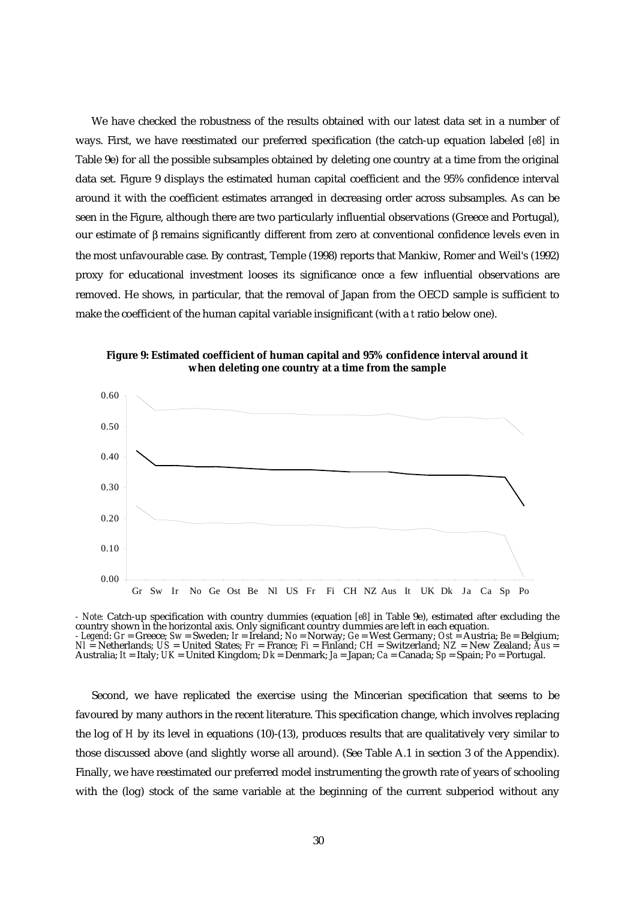We have checked the robustness of the results obtained with our latest data set in a number of ways. First, we have reestimated our preferred specification (the catch-up equation labeled *[e8]* in Table 9e) for all the possible subsamples obtained by deleting one country at a time from the original data set. Figure 9 displays the estimated human capital coefficient and the 95% confidence interval around it with the coefficient estimates arranged in decreasing order across subsamples. As can be seen in the Figure, although there are two particularly influential observations (Greece and Portugal), our estimate of  $\beta$  remains significantly different from zero at conventional confidence levels even in the most unfavourable case. By contrast, Temple (1998) reports that Mankiw, Romer and Weil's (1992) proxy for educational investment looses its significance once a few influential observations are removed. He shows, in particular, that the removal of Japan from the OECD sample is sufficient to make the coefficient of the human capital variable insignificant (with a *t* ratio below one).

**Figure 9: Estimated coefficient of human capital and 95% confidence interval around it when deleting one country at a time from the sample**



*- Note:* Catch-up specification with country dummies (equation *[e8]* in Table 9e), estimated after excluding the country shown in the horizontal axis. Only significant country dummies are left in each equation. *- Legend*: *Gr* = Greece; *Sw* = Sweden; *Ir* = Ireland; *No* = Norway; *Ge* = West Germany; *Ost* = Austria; *Be* = Belgium; *Nl* = Netherlands; *US* = United States; *Fr* = France; *Fi* = Finland; *CH* = Switzerland; *NZ* = New Zealand; *Aus* = Australia; *It* = Italy; *UK* = United Kingdom; *Dk* = Denmark; *Ja* = Japan; *Ca* = Canada; *Sp* = Spain; *Po* = Portugal.

Second, we have replicated the exercise using the Mincerian specification that seems to be favoured by many authors in the recent literature. This specification change, which involves replacing the log of *H* by its level in equations (10)-(13), produces results that are qualitatively very similar to those discussed above (and slightly worse all around). (See Table A.1 in section 3 of the Appendix). Finally, we have reestimated our preferred model instrumenting the growth rate of years of schooling with the (log) stock of the same variable at the beginning of the current subperiod without any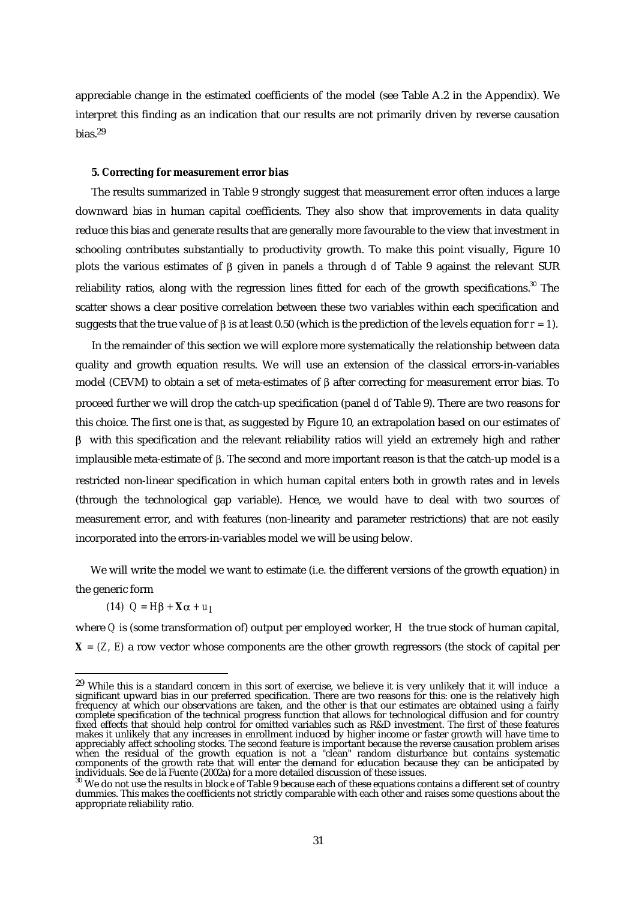appreciable change in the estimated coefficients of the model (see Table A.2 in the Appendix). We interpret this finding as an indication that our results are not primarily driven by reverse causation bias.<sup>29</sup>

## **5. Correcting for measurement error bias**

The results summarized in Table 9 strongly suggest that measurement error often induces a large downward bias in human capital coefficients. They also show that improvements in data quality reduce this bias and generate results that are generally more favourable to the view that investment in schooling contributes substantially to productivity growth. To make this point visually, Figure 10 plots the various estimates of  $\beta$  given in panels *a* through *d* of Table 9 against the relevant SUR reliability ratios, along with the regression lines fitted for each of the growth specifications.<sup>30</sup> The scatter shows a clear positive correlation between these two variables within each specification and suggests that the true value of  $\beta$  is at least 0.50 (which is the prediction of the levels equation for  $r = 1$ ).

In the remainder of this section we will explore more systematically the relationship between data quality and growth equation results. We will use an extension of the classical errors-in-variables model (CEVM) to obtain a set of meta-estimates of  $\beta$  after correcting for measurement error bias. To proceed further we will drop the catch-up specification (panel *d* of Table 9). There are two reasons for this choice. The first one is that, as suggested by Figure 10, an extrapolation based on our estimates of  $\beta$  with this specification and the relevant reliability ratios will yield an extremely high and rather implausible meta-estimate of  $\beta$ . The second and more important reason is that the catch-up model is a restricted non-linear specification in which human capital enters both in growth rates and in levels (through the technological gap variable). Hence, we would have to deal with two sources of measurement error, and with features (non-linearity and parameter restrictions) that are not easily incorporated into the errors-in-variables model we will be using below.

We will write the model we want to estimate (i.e. the different versions of the growth equation) in the generic form

*(14)*  $Q = H\beta + X\alpha + u_1$ 

where *Q* is (some transformation of) output per employed worker, *H* the true stock of human capital,  $X = (Z, E)$  a row vector whose components are the other growth regressors (the stock of capital per

 $^{29}$  While this is a standard concern in this sort of exercise, we believe it is very unlikely that it will induce a significant upward bias in our preferred specification. There are two reasons for this: one is the relatively high frequency at which our observations are taken, and the other is that our estimates are obtained using a fairly complete specification of the technical progress function that allows for technological diffusion and for country fixed effects that should help control for omitted variables such as R&D investment. The first of these features makes it unlikely that any increases in enrollment induced by higher income or faster growth will have time to appreciably affect schooling stocks. The second feature is important because the reverse causation problem arises when the residual of the growth equation is not a "clean" random disturbance but contains systematic components of the growth rate that will enter the demand for education because they can be anticipated by individuals. See de la Fuente (2002a) for a more detailed discussion of these issues.

<sup>30</sup> We do not use the results in block *e* of Table 9 because each of these equations contains a different set of country dummies. This makes the coefficients not strictly comparable with each other and raises some questions about the appropriate reliability ratio.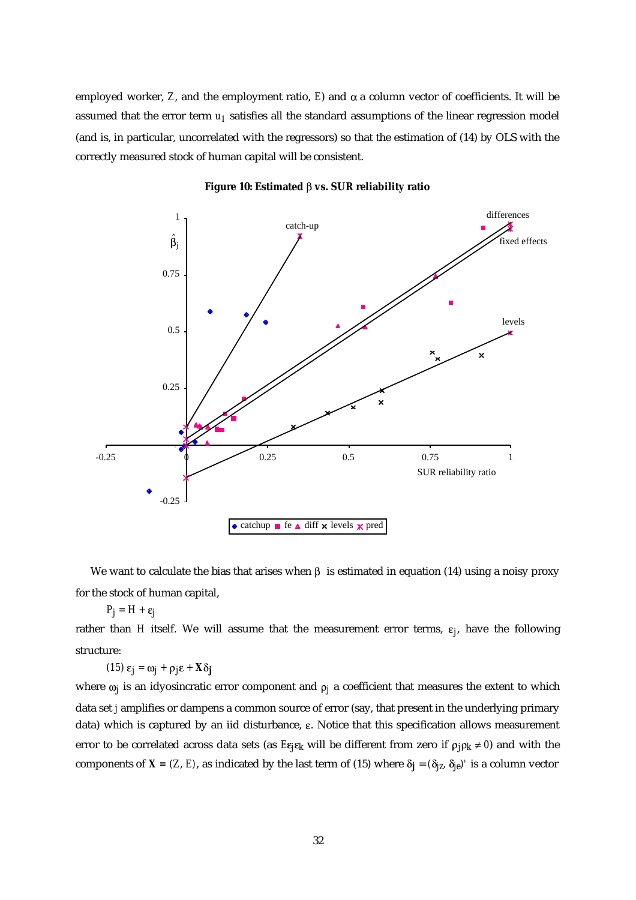employed worker,  $Z$ , and the employment ratio,  $E$ ) and  $\alpha$  a column vector of coefficients. It will be assumed that the error term  $u_1$  satisfies all the standard assumptions of the linear regression model (and is, in particular, uncorrelated with the regressors) so that the estimation of (14) by OLS with the correctly measured stock of human capital will be consistent.



Figure 10: Estimated  $\beta$  vs. SUR reliability ratio

We want to calculate the bias that arises when  $\beta$  is estimated in equation (14) using a noisy proxy for the stock of human capital,

 $P_j = H + \varepsilon_j$ 

rather than  $H$  itself. We will assume that the measurement error terms,  $\varepsilon_j$ , have the following structure:

$$
(15) \ \epsilon_j = \omega_j + \rho_j \epsilon + \mathbf{X} \delta_j
$$

where  $\omega_j$  is an idyosincratic error component and  $\rho_j$  a coefficient that measures the extent to which data set *j* amplifies or dampens a common source of error (say, that present in the underlying primary data) which is captured by an iid disturbance,  $\varepsilon$ . Notice that this specification allows measurement error to be correlated across data sets (as  $E\varepsilon_j\varepsilon_k$  will be different from zero if  $\rho_j\rho_k\neq 0$ ) and with the components of  $X = (Z, E)$ , as indicated by the last term of (15) where  $\delta_j = (\delta_{jz} \ \delta_{j\theta})'$  is a column vector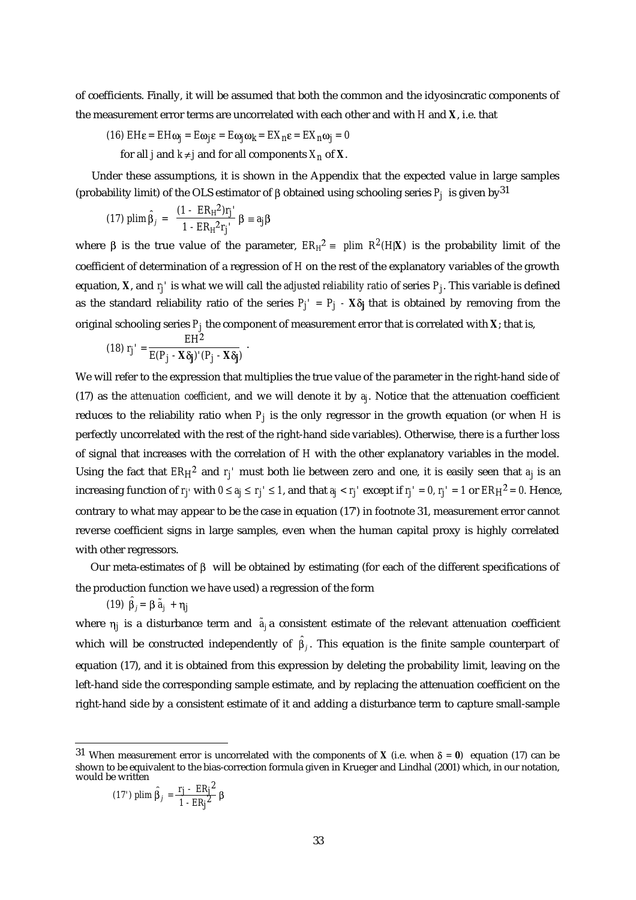of coefficients. Finally, it will be assumed that both the common and the idyosincratic components of the measurement error terms are uncorrelated with each other and with *H* and *X*, i.e. that

(16) EHe = EH
$$
\omega_j
$$
 = E $\omega_j \varepsilon$  = E $\omega_j \omega_k$  = EX<sub>n</sub> $\varepsilon$  = EX<sub>n</sub> $\omega_j$  = 0  
for all *j* and  $k \neq j$  and for all components X<sub>n</sub> of **X**.

Under these assumptions, it is shown in the Appendix that the expected value in large samples (probability limit) of the OLS estimator of  $\beta$  obtained using schooling series  $P_j$  is given by  $31$ 

(17) 
$$
\text{plim}\,\hat{\beta}_j = \frac{(1 - ER_H^2)r_j'}{1 - ER_H^2r_j'}\,\beta = a_j\beta
$$

where  $\beta$  is the true value of the parameter,  $E R_H^2 \equiv$  plim  $R^2(H|\mathbf{X})$  is the probability limit of the coefficient of determination of a regression of *H* on the rest of the explanatory variables of the growth equation, *X*, and *rj '* is what we will call the *adjusted reliability ratio* of series *Pj* . This variable is defined as the standard reliability ratio of the series  $P_j' = P_j$  -  $\boldsymbol{X\delta_j}$  that is obtained by removing from the original schooling series  $P_j$  the component of measurement error that is correlated with  $\boldsymbol{X}$ ; that is,

$$
(18) r_j' = \frac{EH^2}{E(P_j - X\delta j)'(P_j - X\delta j)}.
$$

We will refer to the expression that multiplies the true value of the parameter in the right-hand side of (17) as the *attenuation coefficient*, and we will denote it by *aj* . Notice that the attenuation coefficient reduces to the reliability ratio when *Pj* is the only regressor in the growth equation (or when *H* is perfectly uncorrelated with the rest of the right-hand side variables). Otherwise, there is a further loss of signal that increases with the correlation of *H* with the other explanatory variables in the model. Using the fact that  $ER_H^2$  and  $r_j$ ' must both lie between zero and one, it is easily seen that  $a_j$  is an increasing function of  $r_j$  with  $0\leq a_j\leq r_j\leq 1$ , and that  $a_j < r_j$  except if  $r_j\prime = 0$ ,  $r_j\prime = 1$  or  $ER_H{}^2 = 0$ . Hence, contrary to what may appear to be the case in equation (17') in footnote 31, measurement error cannot reverse coefficient signs in large samples, even when the human capital proxy is highly correlated with other regressors.

Our meta-estimates of  $\beta$  will be obtained by estimating (for each of the different specifications of the production function we have used) a regression of the form

(19) 
$$
\beta_j = \beta \tilde{a}_j + \eta_j
$$

where  $\eta_j$  is a disturbance term and  $\tilde{a}_j$ a consistent estimate of the relevant attenuation coefficient which will be constructed independently of  $\hat{\beta}_j$ . This equation is the finite sample counterpart of equation (17), and it is obtained from this expression by deleting the probability limit, leaving on the left-hand side the corresponding sample estimate, and by replacing the attenuation coefficient on the right-hand side by a consistent estimate of it and adding a disturbance term to capture small-sample

$$
(17')\text{ plim }\hat{\beta}_j = \frac{r_j - ER_j^2}{1 - ER_j^2} \beta
$$

<sup>31</sup> When measurement error is uncorrelated with the components of *X* (i.e. when  $\delta = 0$ ) equation (17) can be shown to be equivalent to the bias-correction formula given in Krueger and Lindhal (2001) which, in our notation, would be written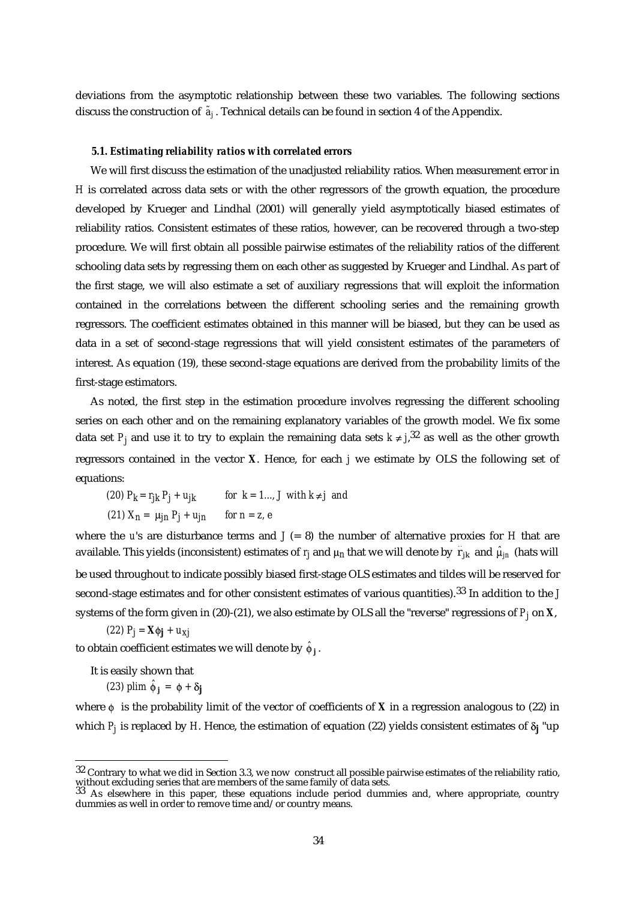deviations from the asymptotic relationship between these two variables. The following sections discuss the construction of  $\tilde{a}_j$  . Technical details can be found in section 4 of the Appendix.

#### *5.1. Estimating reliability ratios with correlated errors*

We will first discuss the estimation of the unadjusted reliability ratios. When measurement error in *H* is correlated across data sets or with the other regressors of the growth equation, the procedure developed by Krueger and Lindhal (2001) will generally yield asymptotically biased estimates of reliability ratios. Consistent estimates of these ratios, however, can be recovered through a two-step procedure. We will first obtain all possible pairwise estimates of the reliability ratios of the different schooling data sets by regressing them on each other as suggested by Krueger and Lindhal. As part of the first stage, we will also estimate a set of auxiliary regressions that will exploit the information contained in the correlations between the different schooling series and the remaining growth regressors. The coefficient estimates obtained in this manner will be biased, but they can be used as data in a set of second-stage regressions that will yield consistent estimates of the parameters of interest. As equation (19), these second-stage equations are derived from the probability limits of the first-stage estimators.

As noted, the first step in the estimation procedure involves regressing the different schooling series on each other and on the remaining explanatory variables of the growth model. We fix some data set  $P_j$  and use it to try to explain the remaining data sets  $k \neq j,$ <sup>32</sup> as well as the other growth regressors contained in the vector *X*. Hence, for each *j* we estimate by OLS the following set of equations:

(20) 
$$
P_k = r_{jk} P_j + u_{jk}
$$
 for  $k = 1...$ , J with  $k \neq j$  and  
(21)  $X_n = \mu_{jn} P_j + u_{jn}$  for  $n = z$ , e

where the *u*'s are disturbance terms and  $J (= 8)$  the number of alternative proxies for *H* that are available. This yields (inconsistent) estimates of  $r_j$  and  $\mu_n$  that we will denote by  $\hat{r}_{jk}$  and  $\hat{\mu}_{jn}$  (hats will be used throughout to indicate possibly biased first-stage OLS estimates and tildes will be reserved for second-stage estimates and for other consistent estimates of various quantities).33 In addition to the *J* systems of the form given in (20)-(21), we also estimate by OLS all the "reverse" regressions of *Pj* on *X*,

$$
(22) P_j = X\phi_j + u_{xj}
$$

to obtain coefficient estimates we will denote by  $\hat{\phi}_j$ .

It is easily shown that

 $(23)$  plim  $\hat{\phi}_j = \phi + \delta_j$ 

where  $\phi$  is the probability limit of the vector of coefficients of *X* in a regression analogous to (22) in which  $P_j$  is replaced by  $H$ . Hence, the estimation of equation (22) yields consistent estimates of  $\delta_{\bm j}$  "up

 $^{32}$  Contrary to what we did in Section 3.3, we now construct all possible pairwise estimates of the reliability ratio, without excluding series that are members of the same family of data sets.

 $33$  As elsewhere in this paper, these equations include period dummies and, where appropriate, country dummies as well in order to remove time and/or country means.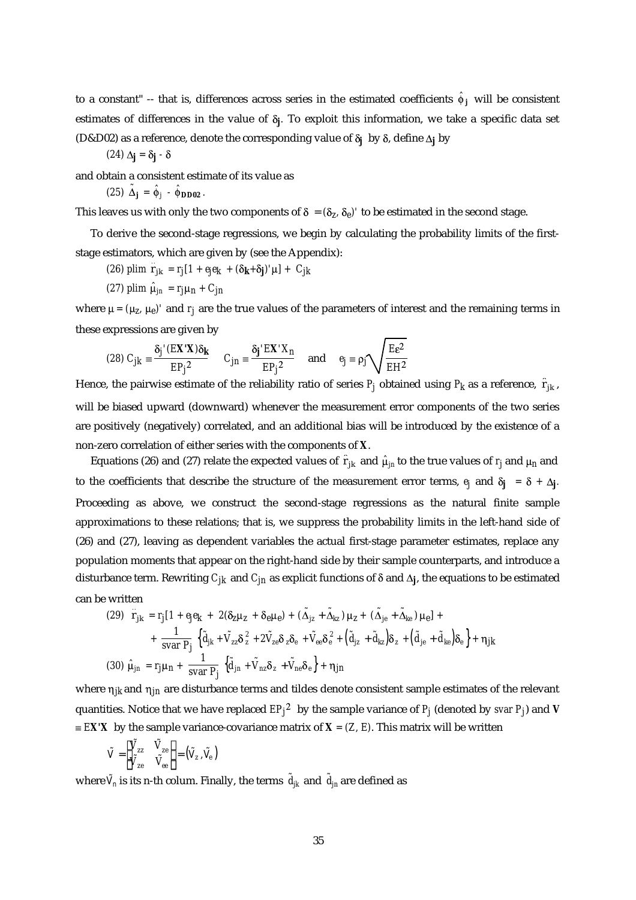to a constant" -- that is, differences across series in the estimated coefficients  $\hat{\phi}_j$  will be consistent estimates of differences in the value of *j .* To exploit this information, we take a specific data set (D&D02) as a reference, denote the corresponding value of  $\delta_{\bf j}$  by  $\delta$ , define  $\Delta_{\bf j}$  by

$$
(24) \Delta_{\bm{j}} = \delta_{\bm{j}} - \delta
$$

and obtain a consistent estimate of its value as

$$
(25) \tilde{\Delta}_{\mathbf{j}} = \hat{\phi}_{j} - \hat{\phi}_{\mathbf{DD02}}.
$$

This leaves us with only the two components of  $\delta = (\delta_z, \delta_e)'$  to be estimated in the second stage.

To derive the second-stage regressions, we begin by calculating the probability limits of the firststage estimators, which are given by (see the Appendix):

(26) plim 
$$
\hat{r}_{jk} = r_j[1 + e_j e_k + (\delta_k + \delta_j)' \mu] + C_{jk}
$$

*(27)* plim  $\hat{\mu}_{jn} = r_j \mu_n + C_{jn}$ 

where  $\mu = (\mu_Z, \, \mu_e)'$  and  $r_j$  are the true values of the parameters of interest and the remaining terms in these expressions are given by

(28) 
$$
C_{jk} = \frac{\delta_j' (E \mathbf{X}' \mathbf{X}) \delta_k}{E P_j^2}
$$
  $C_{jn} = \frac{\delta_j' E \mathbf{X}' X_n}{E P_j^2}$  and  $e_j = \rho_j \sqrt{\frac{E \epsilon^2}{E H^2}}$ 

Hence, the pairwise estimate of the reliability ratio of series  $P_j$  obtained using  $P_k$  as a reference,  $\hat{r}_{jk}$ , will be biased upward (downward) whenever the measurement error components of the two series are positively (negatively) correlated, and an additional bias will be introduced by the existence of a non-zero correlation of either series with the components of *X*.

Equations (26) and (27) relate the expected values of  $\hat{r}_{jk}$  and  $\hat{\mu}_{jn}$  to the true values of  $r_j$  and  $\mu_n$  and to the coefficients that describe the structure of the measurement error terms,  $e_j$  and  $\delta_{\bf j}$  =  $\delta$  +  $\Delta_{\bf j}$ . Proceeding as above, we construct the second-stage regressions as the natural finite sample approximations to these relations; that is, we suppress the probability limits in the left-hand side of (26) and (27), leaving as dependent variables the actual first-stage parameter estimates, replace any population moments that appear on the right-hand side by their sample counterparts, and introduce a disturbance term. Rewriting  $C_{jk}$  and  $C_{jn}$  as explicit functions of  $\delta$  and  $\Delta_{\bf j}$ , the equations to be estimated can be written

(29) 
$$
\hat{r}_{jk} = r_j [1 + e_j e_k + 2(\delta_z \mu_z + \delta_e \mu_e) + (\tilde{\Delta}_{jz} + \tilde{\Delta}_{kz}) \mu_z + (\tilde{\Delta}_{je} + \tilde{\Delta}_{ke}) \mu_e] +
$$
  
+  $\frac{1}{\text{svar } P_j} \left\{ \tilde{d}_{jk} + \tilde{V}_{zz} \delta_z^2 + 2 \tilde{V}_{ze} \delta_z \delta_e + \tilde{V}_{ee} \delta_e^2 + (\tilde{d}_{jz} + \tilde{d}_{kz}) \delta_z + (\tilde{d}_{je} + \tilde{d}_{ke}) \delta_e \right\} + \eta_{jk}$   
(30)  $\hat{\mu}_{jn} = r_j \mu_n + \frac{1}{\text{svar } P_j} \left\{ \tilde{d}_{jn} + \tilde{V}_{nz} \delta_z + \tilde{V}_{ne} \delta_e \right\} + \eta_{jn}$ 

where  $\eta_{ik}$  and  $\eta_{jn}$  are disturbance terms and tildes denote consistent sample estimates of the relevant quantities. Notice that we have replaced  $EP_j^2$  by the sample variance of  $P_j$  (denoted by *svar*  $P_j$ ) and  $\bm{V}$  $E = EX'X$  by the sample variance-covariance matrix of  $X = (Z, E)$ . This matrix will be written

$$
\tilde{\boldsymbol{V}} = \frac{\tilde{V}_{zz}}{\tilde{V}_{ze}} \frac{\tilde{V}_{ze}}{\tilde{V}_{ee}} = (\tilde{\boldsymbol{V}}_{z}, \tilde{\boldsymbol{V}}_{e})
$$

where  $\tilde{\textbf{V}}_{\textbf{n}}$  is its n-th colum. Finally, the terms  $\tilde{d}_{jk}$  and  $\tilde{d}_{jn}$  are defined as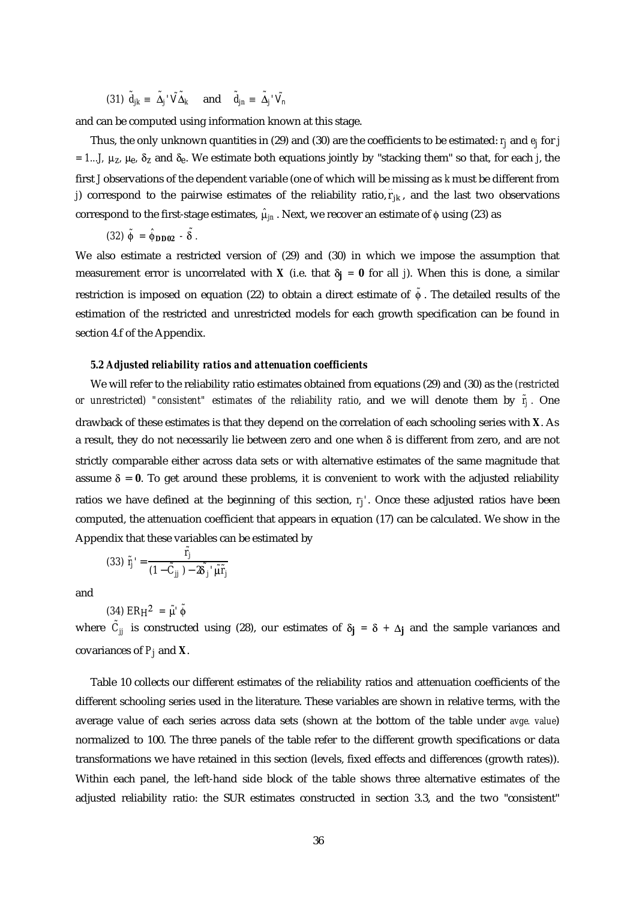$(31) \tilde{d}_{jk} = 0$  $\tilde{\mathbf{A}}_j \cdot \tilde{\mathbf{V}} \tilde{\mathbf{A}}_k$  and  $\tilde{d}_{jn} \equiv 0$  $\tilde{\Delta}_j$  '  $\tilde{V}_n$ 

*.*

and can be computed using information known at this stage.

Thus, the only unknown quantities in (29) and (30) are the coefficients to be estimated:  $r_j$  and  $e_j$  for  $j$  $= 1...$  ,  $\mu_z$ ,  $\mu_e$ ,  $\delta_z$  and  $\delta_e$ . We estimate both equations jointly by "stacking them" so that, for each *j*, the first *J* observations of the dependent variable (one of which will be missing as *k* must be different from *j*) correspond to the pairwise estimates of the reliability ratio,  $\hat{r}_{jk}$ , and the last two observations correspond to the first-stage estimates,  $\hat{\mu}_{jn}$  . Next, we recover an estimate of  $\phi$  using (23) as

$$
(32) \tilde{\phi} = \hat{\phi}_{\text{DD02}} - \tilde{\delta}
$$

We also estimate a restricted version of (29) and (30) in which we impose the assumption that measurement error is uncorrelated with *X* (i.e. that  $\delta$ **j** = **0** for all *j*). When this is done, a similar restriction is imposed on equation (22) to obtain a direct estimate of  $\tilde{\phi}$  . The detailed results of the estimation of the restricted and unrestricted models for each growth specification can be found in section 4.f of the Appendix.

#### *5.2 Adjusted reliability ratios and attenuation coefficients*

We will refer to the reliability ratio estimates obtained from equations (29) and (30) as the *(restricted or unrestricted) "consistent" estimates of the reliability ratio, and we will denote them by*  $\tilde{r}_j$ *. One* drawback of these estimates is that they depend on the correlation of each schooling series with *X*. As a result, they do not necessarily lie between zero and one when  $\delta$  is different from zero, and are not strictly comparable either across data sets or with alternative estimates of the same magnitude that assume  $\delta = 0$ . To get around these problems, it is convenient to work with the adjusted reliability ratios we have defined at the beginning of this section, *rj '*. Once these adjusted ratios have been computed, the attenuation coefficient that appears in equation (17) can be calculated. We show in the Appendix that these variables can be estimated by

$$
(33) \tilde{r}_j' = \frac{\tilde{r}_j}{\left(1 - \tilde{C}_{jj}\right) - 2\tilde{\delta}_j' \tilde{\mu}\tilde{r}_j}
$$

and

 $(34) ER_H^2 = \tilde{\mu}' \tilde{\phi}$ 

where  $\tilde{C}_{jj}$  is constructed using (28), our estimates of  $\delta \mathbf{j} = \delta + \Delta \mathbf{j}$  and the sample variances and covariances of *Pj* and *X*.

Table 10 collects our different estimates of the reliability ratios and attenuation coefficients of the different schooling series used in the literature. These variables are shown in relative terms, with the average value of each series across data sets (shown at the bottom of the table under *avge. value*) normalized to 100. The three panels of the table refer to the different growth specifications or data transformations we have retained in this section (levels, fixed effects and differences (growth rates)). Within each panel, the left-hand side block of the table shows three alternative estimates of the adjusted reliability ratio: the SUR estimates constructed in section 3.3, and the two "consistent"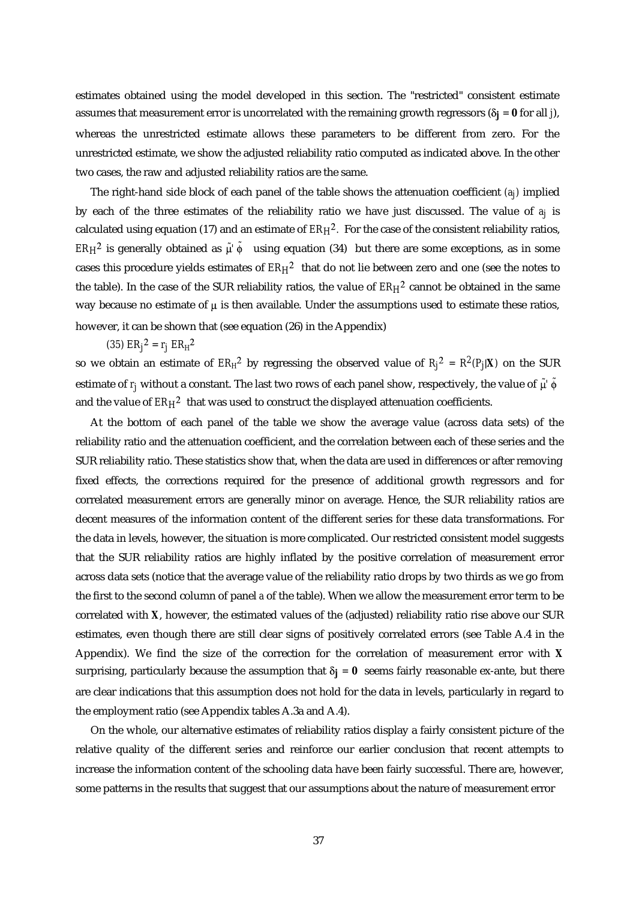estimates obtained using the model developed in this section. The "restricted" consistent estimate assumes that measurement error is uncorrelated with the remaining growth regressors ( $\delta_{\bf j}$  = **0** for all  $j$ ), whereas the unrestricted estimate allows these parameters to be different from zero. For the unrestricted estimate, we show the adjusted reliability ratio computed as indicated above. In the other two cases, the raw and adjusted reliability ratios are the same.

The right-hand side block of each panel of the table shows the attenuation coefficient *(aj )* implied by each of the three estimates of the reliability ratio we have just discussed. The value of *aj* is calculated using equation (17) and an estimate of  $E R_H^2$ . For the case of the consistent reliability ratios,  $ER_H^2$  is generally obtained as  $\tilde{\mu}' \tilde{\phi}$  using equation (34) but there are some exceptions, as in some cases this procedure yields estimates of  $ER_H^2$  that do not lie between zero and one (see the notes to the table). In the case of the SUR reliability ratios, the value of  $E R_H^2$  cannot be obtained in the same way because no estimate of  $\mu$  is then available. Under the assumptions used to estimate these ratios, however, it can be shown that (see equation (26) in the Appendix)

 $(35)$   $ER_j^2 = r_j$   $ER_H$ 

so we obtain an estimate of  $ER_H^2$  by regressing the observed value of  $R_f^2 = R^2(P_f|\mathbf{X})$  on the SUR estimate of  $r_j$  without a constant. The last two rows of each panel show, respectively, the value of  $\tilde{\mu}'\tilde{\phi}$ and the value of  $ER_H^2$  that was used to construct the displayed attenuation coefficients.

At the bottom of each panel of the table we show the average value (across data sets) of the reliability ratio and the attenuation coefficient, and the correlation between each of these series and the SUR reliability ratio. These statistics show that, when the data are used in differences or after removing fixed effects, the corrections required for the presence of additional growth regressors and for correlated measurement errors are generally minor on average. Hence, the SUR reliability ratios are decent measures of the information content of the different series for these data transformations. For the data in levels, however, the situation is more complicated. Our restricted consistent model suggests that the SUR reliability ratios are highly inflated by the positive correlation of measurement error across data sets (notice that the average value of the reliability ratio drops by two thirds as we go from the first to the second column of panel *a* of the table). When we allow the measurement error term to be correlated with *X*, however, the estimated values of the (adjusted) reliability ratio rise above our SUR estimates, even though there are still clear signs of positively correlated errors (see Table A.4 in the Appendix). We find the size of the correction for the correlation of measurement error with *X* surprising, particularly because the assumption that  $\delta_{\bm j}$  =  $\bm 0\,$  seems fairly reasonable ex-ante, but there are clear indications that this assumption does not hold for the data in levels, particularly in regard to the employment ratio (see Appendix tables A.3a and A.4).

On the whole, our alternative estimates of reliability ratios display a fairly consistent picture of the relative quality of the different series and reinforce our earlier conclusion that recent attempts to increase the information content of the schooling data have been fairly successful. There are, however, some patterns in the results that suggest that our assumptions about the nature of measurement error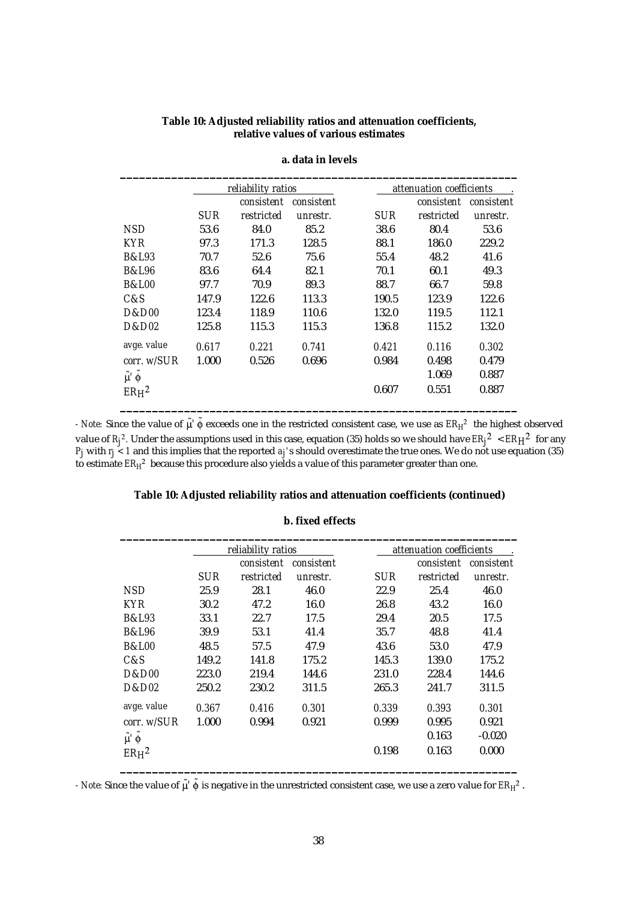|                             |            | reliability ratios |            |       | attenuation coefficients |            |
|-----------------------------|------------|--------------------|------------|-------|--------------------------|------------|
|                             |            | consistent         | consistent |       | consistent               | consistent |
|                             | <b>SUR</b> | restricted         | unrestr.   | SUR   | restricted               | unrestr.   |
| NSD                         | 53.6       | 84.0               | 85.2       | 38.6  | 80.4                     | 53.6       |
| KYR                         | 97.3       | 171.3              | 128.5      | 88.1  | 186.0                    | 229.2      |
| B&L93                       | 70.7       | 52.6               | 75.6       | 55.4  | 48.2                     | 41.6       |
| B&L96                       | 83.6       | 64.4               | 82.1       | 70.1  | 60.1                     | 49.3       |
| B&L00                       | 97.7       | 70.9               | 89.3       | 88.7  | 66.7                     | 59.8       |
| C&S                         | 147.9      | 122.6              | 113.3      | 190.5 | 123.9                    | 122.6      |
| D&D00                       | 123.4      | 118.9              | 110.6      | 132.0 | 119.5                    | 112.1      |
| D&D02                       | 125.8      | 115.3              | 115.3      | 136.8 | 115.2                    | 132.0      |
| avge. value                 | 0.617      | 0.221              | 0.741      | 0.421 | 0.116                    | 0.302      |
| $corr.$ w/SUR               | 1.000      | 0.526              | 0.696      | 0.984 | 0.498                    | 0.479      |
| $\tilde{\mu}' \tilde{\phi}$ |            |                    |            |       | 1.069                    | 0.887      |
| $ERH^2$                     |            |                    |            | 0.607 | 0.551                    | 0.887      |

## **Table 10: Adjusted reliability ratios and attenuation coefficients, relative values of various estimates**

**a. data in levels**

*- Note:* Since the value of  $\tilde{\mu}' \tilde{\phi}$  exceeds one in the restricted consistent case, we use as  $ER_H^2$  the highest observed value of  $R_j^2$ . Under the assumptions used in this case, equation (35) holds so we should have  $E R_j^2 < E R_H^2$  for any *P<sub>j</sub>* with  $r_j < 1$  and this implies that the reported  $a_j$ 's should overestimate the true ones. We do not use equation (35) to estimate  $\mathrm{\mathrm{\mathrm{\mathrm{E}R_H}}}\mathrm{\mathrm{\mathrm{\mathrm{}}}}$  because this procedure also yields a value of this parameter greater than one.

## **Table 10: Adjusted reliability ratios and attenuation coefficients (continued)**

|                             |            | reliability ratios |            |       | attenuation coefficients |            |
|-----------------------------|------------|--------------------|------------|-------|--------------------------|------------|
|                             |            | consistent         | consistent |       | consistent               | consistent |
|                             | <b>SUR</b> | restricted         | unrestr.   | SUR   | restricted               | unrestr.   |
| NSD                         | 25.9       | 28.1               | 46.0       | 22.9  | 25.4                     | 46.0       |
| <b>KYR</b>                  | 30.2       | 47.2               | 16.0       | 26.8  | 43.2                     | 16.0       |
| B&L93                       | 33.1       | 22.7               | 17.5       | 29.4  | 20.5                     | 17.5       |
| <b>B&amp;L96</b>            | 39.9       | 53.1               | 41.4       | 35.7  | 48.8                     | 41.4       |
| B&L00                       | 48.5       | 57.5               | 47.9       | 43.6  | 53.0                     | 47.9       |
| C&S                         | 149.2      | 141.8              | 175.2      | 145.3 | 139.0                    | 175.2      |
| D&D00                       | 223.0      | 219.4              | 144.6      | 231.0 | 228.4                    | 144.6      |
| D&D02                       | 250.2      | 230.2              | 311.5      | 265.3 | 241.7                    | 311.5      |
| avge. value                 | 0.367      | 0.416              | 0.301      | 0.339 | 0.393                    | 0.301      |
| $corr.$ w/SUR               | 1.000      | 0.994              | 0.921      | 0.999 | 0.995                    | 0.921      |
| $\tilde{\mu}' \tilde{\phi}$ |            |                    |            |       | 0.163                    | $-0.020$   |
| ERH <sup>2</sup>            |            |                    |            | 0.198 | 0.163                    | 0.000      |

## **b. fixed effects**

- *Note:* Since the value of  $\tilde{\mu}'\tilde{\phi}$  is negative in the unrestricted consistent case, we use a zero value for  $ER_H^2$ .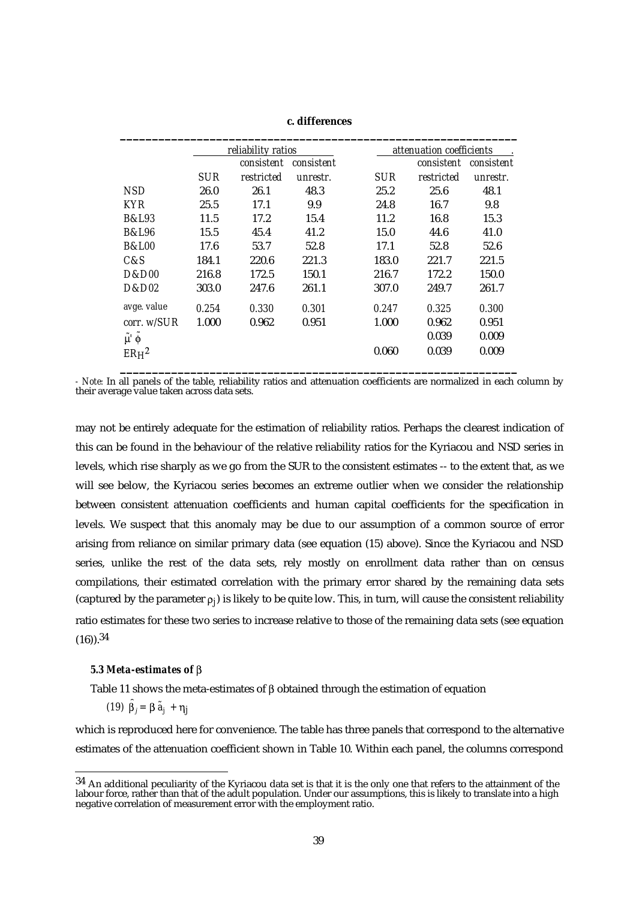|                             |            | reliability ratios |            |       | attenuation coefficients |            |
|-----------------------------|------------|--------------------|------------|-------|--------------------------|------------|
|                             |            | consistent         | consistent |       | consistent               | consistent |
|                             | <i>SUR</i> | restricted         | unrestr.   | SUR   | restricted               | unrestr.   |
| NSD                         | 26.0       | 26.1               | 48.3       | 25.2  | 25.6                     | 48.1       |
| KYR                         | 25.5       | 17.1               | 9.9        | 24.8  | 16.7                     | 9.8        |
| B&L93                       | 11.5       | 17.2               | 15.4       | 11.2  | 16.8                     | 15.3       |
| B&L96                       | 15.5       | 45.4               | 41.2       | 15.0  | 44.6                     | 41.0       |
| B&L00                       | 17.6       | 53.7               | 52.8       | 17.1  | 52.8                     | 52.6       |
| C&S                         | 184.1      | 220.6              | 221.3      | 183.0 | 221.7                    | 221.5      |
| D&D00                       | 216.8      | 172.5              | 150.1      | 216.7 | 172.2                    | 150.0      |
| D&D02                       | 303.0      | 247.6              | 261.1      | 307.0 | 249.7                    | 261.7      |
| avge. value                 | 0.254      | 0.330              | 0.301      | 0.247 | 0.325                    | 0.300      |
| corr. w/SUR                 | 1.000      | 0.962              | 0.951      | 1.000 | 0.962                    | 0.951      |
| $\tilde{\mu}' \tilde{\phi}$ |            |                    |            |       | 0.039                    | 0.009      |
| $ERH^2$                     |            |                    |            | 0.060 | 0.039                    | 0.009      |

## **c. differences**

*- Note:* In all panels of the table, reliability ratios and attenuation coefficients are normalized in each column by their average value taken across data sets.

may not be entirely adequate for the estimation of reliability ratios. Perhaps the clearest indication of this can be found in the behaviour of the relative reliability ratios for the Kyriacou and NSD series in levels, which rise sharply as we go from the SUR to the consistent estimates -- to the extent that, as we will see below, the Kyriacou series becomes an extreme outlier when we consider the relationship between consistent attenuation coefficients and human capital coefficients for the specification in levels. We suspect that this anomaly may be due to our assumption of a common source of error arising from reliance on similar primary data (see equation (15) above). Since the Kyriacou and NSD series, unlike the rest of the data sets, rely mostly on enrollment data rather than on census compilations, their estimated correlation with the primary error shared by the remaining data sets (captured by the parameter  $\rho_j$ ) is likely to be quite low. This, in turn, will cause the consistent reliability ratio estimates for these two series to increase relative to those of the remaining data sets (see equation  $(16)$ ).<sup>34</sup>

#### *5.3 Meta-estimates of*

Table 11 shows the meta-estimates of  $\beta$  obtained through the estimation of equation

 $(19) \hat{\beta}_j = \beta \tilde{a}_j + \eta_j$ 

which is reproduced here for convenience. The table has three panels that correspond to the alternative estimates of the attenuation coefficient shown in Table 10. Within each panel, the columns correspond

 $^{34}$  An additional peculiarity of the Kyriacou data set is that it is the only one that refers to the attainment of the labour force, rather than that of the adult population. Under our assumptions, this is likely to translate into a high negative correlation of measurement error with the employment ratio.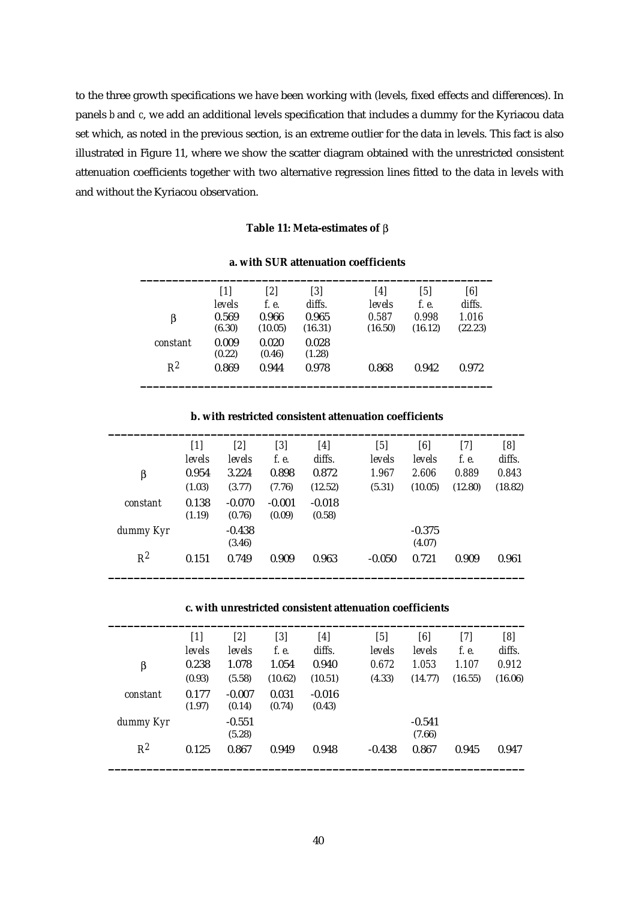to the three growth specifications we have been working with (levels, fixed effects and differences). In panels *b* and *c*, we add an additional levels specification that includes a dummy for the Kyriacou data set which, as noted in the previous section, is an extreme outlier for the data in levels. This fact is also illustrated in Figure 11, where we show the scatter diagram obtained with the unrestricted consistent attenuation coefficients together with two alternative regression lines fitted to the data in levels with and without the Kyriacou observation.

## **Table 11: Meta-estimates of**

|          | $\lceil 1 \rceil$ | [2]     | [3]     | [4]     | [5]     | [6]     |
|----------|-------------------|---------|---------|---------|---------|---------|
|          | levels            | f.e.    | diffs.  | levels  | f.e.    | diffs.  |
| β        | 0.569             | 0.966   | 0.965   | 0.587   | 0.998   | 1.016   |
|          | (6.30)            | (10.05) | (16.31) | (16.50) | (16.12) | (22.23) |
| constant | 0.009             | 0.020   | 0.028   |         |         |         |
|          | (0.22)            | (0.46)  | (1.28)  |         |         |         |
| $R^2$    | 0.869             | 0.944   | 0.978   | 0.868   | 0.942   | 0.972   |

## **a. with SUR attenuation coefficients**

## **b. with restricted consistent attenuation coefficients**

|           | $[1]$  | [2]      | [3]      | [4]      | [5]           | [6]           | $[7]$   | [8]     |
|-----------|--------|----------|----------|----------|---------------|---------------|---------|---------|
|           | levels | levels   | f. e.    | diffs.   | <i>levels</i> | <i>levels</i> | f. e.   | diffs.  |
| β         | 0.954  | 3.224    | 0.898    | 0.872    | 1.967         | 2.606         | 0.889   | 0.843   |
|           | (1.03) | (3.77)   | (7.76)   | (12.52)  | (5.31)        | (10.05)       | (12.80) | (18.82) |
| constant  | 0.138  | $-0.070$ | $-0.001$ | $-0.018$ |               |               |         |         |
|           | (1.19) | (0.76)   | (0.09)   | (0.58)   |               |               |         |         |
| dummy Kyr |        | $-0.438$ |          |          |               | $-0.375$      |         |         |
|           |        | (3.46)   |          |          |               | (4.07)        |         |         |
| $R^2$     | 0.151  | 0.749    | 0.909    | 0.963    | $-0.050$      | 0.721         | 0.909   | 0.961   |
|           |        |          |          |          |               |               |         |         |

## **c. with unrestricted consistent attenuation coefficients**

|           | [1]    | $[2]$    | $[3]$   | [4]      | [5]           | [6]           | [7]     | [8]     |
|-----------|--------|----------|---------|----------|---------------|---------------|---------|---------|
|           | levels | levels   | f. e.   | diffs.   | <i>levels</i> | <i>levels</i> | f. e.   | diffs.  |
| β         | 0.238  | 1.078    | 1.054   | 0.940    | 0.672         | 1.053         | 1.107   | 0.912   |
|           | (0.93) | (5.58)   | (10.62) | (10.51)  | (4.33)        | (14.77)       | (16.55) | (16.06) |
| constant  | 0.177  | $-0.007$ | 0.031   | $-0.016$ |               |               |         |         |
|           | (1.97) | (0.14)   | (0.74)  | (0.43)   |               |               |         |         |
| dummy Kyr |        | $-0.551$ |         |          |               | $-0.541$      |         |         |
|           |        | (5.28)   |         |          |               | (7.66)        |         |         |
| $R^2$     | 0.125  | 0.867    | 0.949   | 0.948    | $-0.438$      | 0.867         | 0.945   | 0.947   |
|           |        |          |         |          |               |               |         |         |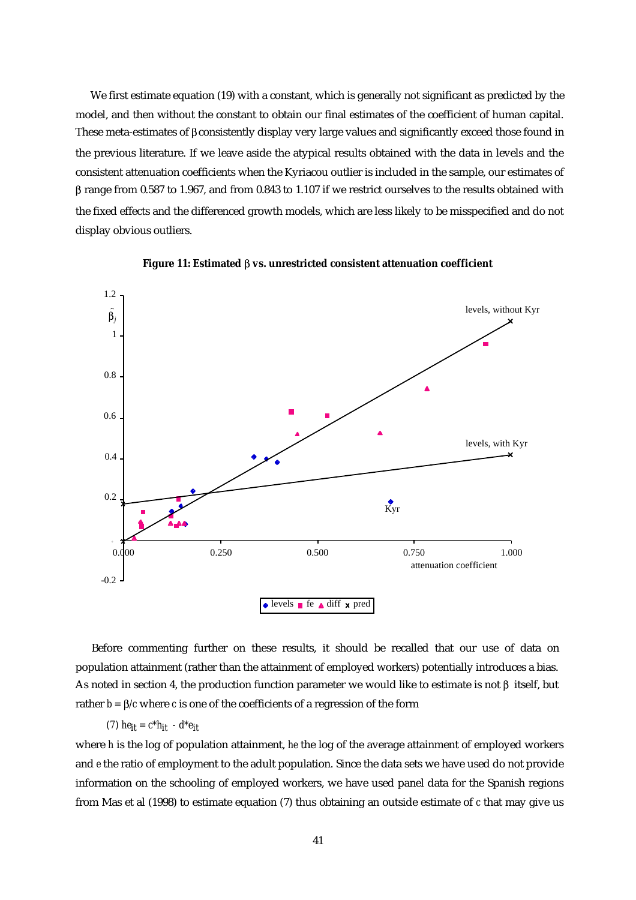We first estimate equation (19) with a constant, which is generally not significant as predicted by the model, and then without the constant to obtain our final estimates of the coefficient of human capital. These meta-estimates of  $\beta$  consistently display very large values and significantly exceed those found in the previous literature. If we leave aside the atypical results obtained with the data in levels and the consistent attenuation coefficients when the Kyriacou outlier is included in the sample, our estimates of  $\beta$  range from 0.587 to 1.967, and from 0.843 to 1.107 if we restrict ourselves to the results obtained with the fixed effects and the differenced growth models, which are less likely to be misspecified and do not display obvious outliers.



Figure 11: Estimated  $\beta$  vs. unrestricted consistent attenuation coefficient

Before commenting further on these results, it should be recalled that our use of data on population attainment (rather than the attainment of employed workers) potentially introduces a bias. As noted in section 4, the production function parameter we would like to estimate is not  $\beta$  itself, but rather  $b = \beta/c$  where *c* is one of the coefficients of a regression of the form

(7) 
$$
he_{it} = c^*h_{it} - d^*e_{it}
$$

where *h* is the log of population attainment, *he* the log of the average attainment of employed workers and *e* the ratio of employment to the adult population. Since the data sets we have used do not provide information on the schooling of employed workers, we have used panel data for the Spanish regions from Mas et al (1998) to estimate equation (7) thus obtaining an outside estimate of *c* that may give us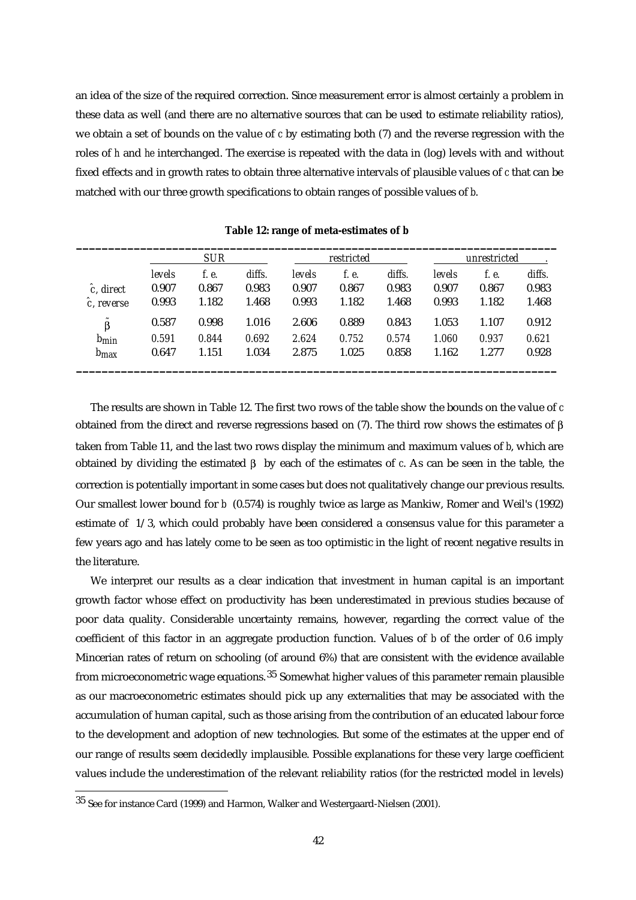an idea of the size of the required correction. Since measurement error is almost certainly a problem in these data as well (and there are no alternative sources that can be used to estimate reliability ratios), we obtain a set of bounds on the value of *c* by estimating both (7) and the reverse regression with the roles of *h* and *he* interchanged. The exercise is repeated with the data in (log) levels with and without fixed effects and in growth rates to obtain three alternative intervals of plausible values of *c* that can be matched with our three growth specifications to obtain ranges of possible values of *b*.

|                         |                          | <i>SUR</i>              |                          |                                 | restricted             |                          |                                 | unrestricted           |                          |
|-------------------------|--------------------------|-------------------------|--------------------------|---------------------------------|------------------------|--------------------------|---------------------------------|------------------------|--------------------------|
| c, direct<br>c. reverse | levels<br>0.907<br>0.993 | f. e.<br>0.867<br>1.182 | diffs.<br>0.983<br>1.468 | <i>levels</i><br>0.907<br>0.993 | f.e.<br>0.867<br>1.182 | diffs.<br>0.983<br>1.468 | <i>levels</i><br>0.907<br>0.993 | f.e.<br>0.867<br>1.182 | diffs.<br>0.983<br>1.468 |
| $\tilde{\beta}$         | 0.587                    | 0.998                   | 1.016                    | 2.606                           | 0.889                  | 0.843                    | 1.053                           | 1.107                  | 0.912                    |
| $b_{\rm min}$           | 0.591                    | 0.844                   | 0.692                    | 2.624                           | 0.752                  | 0.574                    | 1.060                           | 0.937                  | 0.621                    |
| $b_{\text{max}}$        | 0.647                    | 1.151                   | 1.034                    | 2.875                           | 1.025                  | 0.858                    | 1.162                           | 1.277                  | 0.928                    |

**Table 12: range of meta-estimates of** *b*

The results are shown in Table 12. The first two rows of the table show the bounds on the value of *c* obtained from the direct and reverse regressions based on (7). The third row shows the estimates of  $\beta$ taken from Table 11, and the last two rows display the minimum and maximum values of *b*, which are obtained by dividing the estimated  $\beta$  by each of the estimates of *c*. As can be seen in the table, the correction is potentially important in some cases but does not qualitatively change our previous results. Our smallest lower bound for *b* (0.574) is roughly twice as large as Mankiw, Romer and Weil's (1992) estimate of 1/3, which could probably have been considered a consensus value for this parameter a few years ago and has lately come to be seen as too optimistic in the light of recent negative results in the literature.

We interpret our results as a clear indication that investment in human capital is an important growth factor whose effect on productivity has been underestimated in previous studies because of poor data quality. Considerable uncertainty remains, however, regarding the correct value of the coefficient of this factor in an aggregate production function. Values of *b* of the order of 0.6 imply Mincerian rates of return on schooling (of around 6%) that are consistent with the evidence available from microeconometric wage equations.35 Somewhat higher values of this parameter remain plausible as our macroeconometric estimates should pick up any externalities that may be associated with the accumulation of human capital, such as those arising from the contribution of an educated labour force to the development and adoption of new technologies. But some of the estimates at the upper end of our range of results seem decidedly implausible. Possible explanations for these very large coefficient values include the underestimation of the relevant reliability ratios (for the restricted model in levels)

<sup>35</sup> See for instance Card (1999) and Harmon, Walker and Westergaard-Nielsen (2001).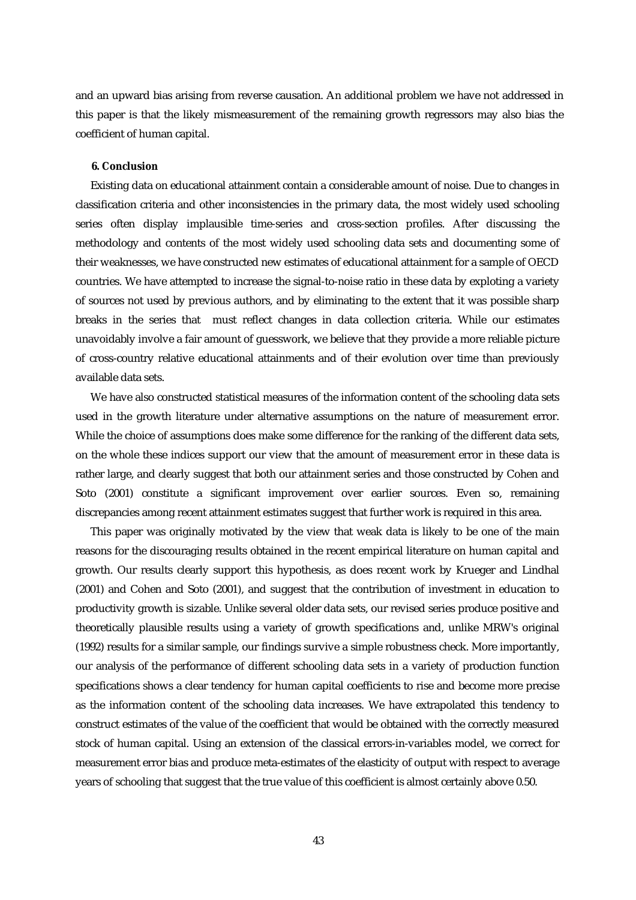and an upward bias arising from reverse causation. An additional problem we have not addressed in this paper is that the likely mismeasurement of the remaining growth regressors may also bias the coefficient of human capital.

#### **6. Conclusion**

Existing data on educational attainment contain a considerable amount of noise. Due to changes in classification criteria and other inconsistencies in the primary data, the most widely used schooling series often display implausible time-series and cross-section profiles. After discussing the methodology and contents of the most widely used schooling data sets and documenting some of their weaknesses, we have constructed new estimates of educational attainment for a sample of OECD countries. We have attempted to increase the signal-to-noise ratio in these data by exploting a variety of sources not used by previous authors, and by eliminating to the extent that it was possible sharp breaks in the series that must reflect changes in data collection criteria. While our estimates unavoidably involve a fair amount of guesswork, we believe that they provide a more reliable picture of cross-country relative educational attainments and of their evolution over time than previously available data sets.

We have also constructed statistical measures of the information content of the schooling data sets used in the growth literature under alternative assumptions on the nature of measurement error. While the choice of assumptions does make some difference for the ranking of the different data sets, on the whole these indices support our view that the amount of measurement error in these data is rather large, and clearly suggest that both our attainment series and those constructed by Cohen and Soto (2001) constitute a significant improvement over earlier sources. Even so, remaining discrepancies among recent attainment estimates suggest that further work is required in this area.

This paper was originally motivated by the view that weak data is likely to be one of the main reasons for the discouraging results obtained in the recent empirical literature on human capital and growth. Our results clearly support this hypothesis, as does recent work by Krueger and Lindhal (2001) and Cohen and Soto (2001), and suggest that the contribution of investment in education to productivity growth is sizable. Unlike several older data sets, our revised series produce positive and theoretically plausible results using a variety of growth specifications and, unlike MRW's original (1992) results for a similar sample, our findings survive a simple robustness check. More importantly, our analysis of the performance of different schooling data sets in a variety of production function specifications shows a clear tendency for human capital coefficients to rise and become more precise as the information content of the schooling data increases. We have extrapolated this tendency to construct estimates of the value of the coefficient that would be obtained with the correctly measured stock of human capital. Using an extension of the classical errors-in-variables model, we correct for measurement error bias and produce meta-estimates of the elasticity of output with respect to average years of schooling that suggest that the true value of this coefficient is almost certainly above 0.50.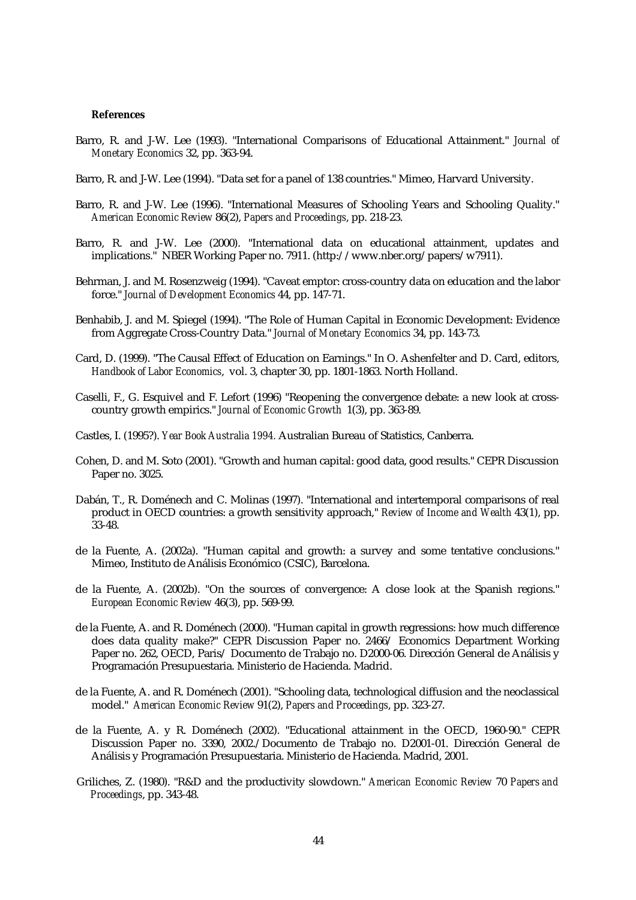## **References**

- Barro, R. and J-W. Lee (1993). "International Comparisons of Educational Attainment." *Journal of Monetary Economics* 32, pp. 363-94.
- Barro, R. and J-W. Lee (1994). "Data set for a panel of 138 countries." Mimeo, Harvard University.
- Barro, R. and J-W. Lee (1996). "International Measures of Schooling Years and Schooling Quality." *American Economic Review* 86(2), *Papers and Proceedings*, pp. 218-23.
- Barro, R. and J-W. Lee (2000). "International data on educational attainment, updates and implications." NBER Working Paper no. 7911. (http://www.nber.org/papers/w7911).
- Behrman, J. and M. Rosenzweig (1994). "Caveat emptor: cross-country data on education and the labor force." *Journal of Development Economics* 44, pp. 147-71.
- Benhabib, J. and M. Spiegel (1994). "The Role of Human Capital in Economic Development: Evidence from Aggregate Cross-Country Data." *Journal of Monetary Economics* 34, pp. 143-73.
- Card, D. (1999). "The Causal Effect of Education on Earnings." In O. Ashenfelter and D. Card, editors, *Handbook of Labor Economics*, vol. 3, chapter 30, pp. 1801-1863. North Holland.
- Caselli, F., G. Esquivel and F. Lefort (1996) "Reopening the convergence debate: a new look at crosscountry growth empirics." *Journal of Economic Growth* 1(3), pp. 363-89.
- Castles, I. (1995?). *Year Book Australia 1994.* Australian Bureau of Statistics, Canberra.
- Cohen, D. and M. Soto (2001). "Growth and human capital: good data, good results." CEPR Discussion Paper no. 3025.
- Dabán, T., R. Doménech and C. Molinas (1997). "International and intertemporal comparisons of real product in OECD countries: a growth sensitivity approach," *Review of Income and Wealth* 43(1), pp. 33-48.
- de la Fuente, A. (2002a). "Human capital and growth: a survey and some tentative conclusions." Mimeo, Instituto de Análisis Económico (CSIC), Barcelona.
- de la Fuente, A. (2002b). "On the sources of convergence: A close look at the Spanish regions." *European Economic Review* 46(3), pp. 569-99.
- de la Fuente, A. and R. Doménech (2000). "Human capital in growth regressions: how much difference does data quality make?" CEPR Discussion Paper no. 2466/ Economics Department Working Paper no. 262, OECD, Paris/ Documento de Trabajo no. D2000-06. Dirección General de Análisis y Programación Presupuestaria. Ministerio de Hacienda. Madrid.
- de la Fuente, A. and R. Doménech (2001). "Schooling data, technological diffusion and the neoclassical model." *American Economic Review* 91(2), *Papers and Proceedings*, pp. 323-27.
- de la Fuente, A. y R. Doménech (2002). "Educational attainment in the OECD, 1960-90." CEPR Discussion Paper no. 3390, 2002./Documento de Trabajo no. D2001-01. Dirección General de Análisis y Programación Presupuestaria. Ministerio de Hacienda. Madrid, 2001.
- Griliches, Z. (1980). "R&D and the productivity slowdown." *American Economic Review* 70 *Papers and Proceedings*, pp. 343-48.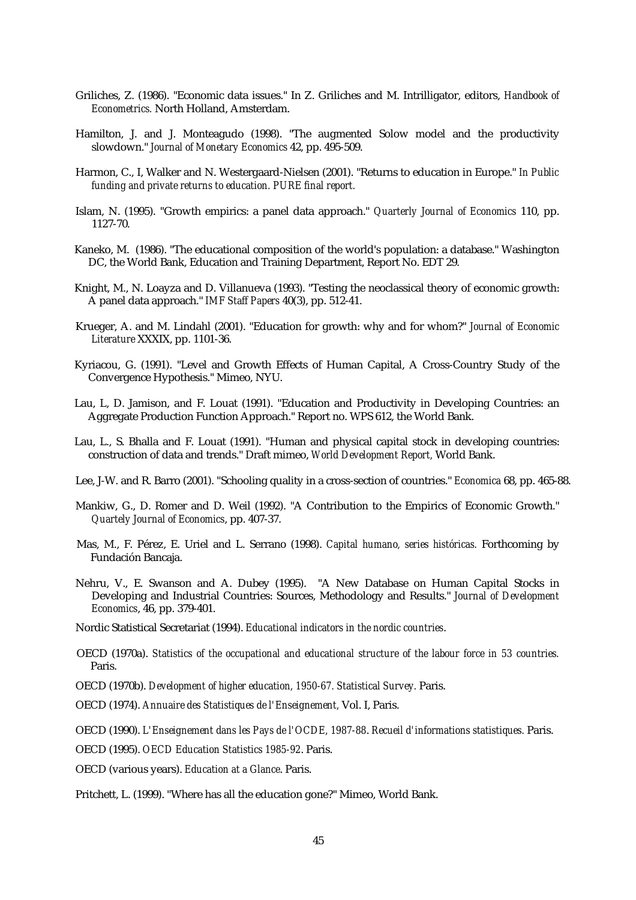- Griliches, Z. (1986). "Economic data issues." In Z. Griliches and M. Intrilligator, editors, *Handbook of Econometrics.* North Holland, Amsterdam.
- Hamilton, J. and J. Monteagudo (1998). "The augmented Solow model and the productivity slowdown." *Journal of Monetary Economics* 42, pp. 495-509.
- Harmon, C., I, Walker and N. Westergaard-Nielsen (2001). "Returns to education in Europe." *In Public funding and private returns to education. PURE final report.*
- Islam, N. (1995). "Growth empirics: a panel data approach." *Quarterly Journal of Economics* 110, pp. 1127-70.
- Kaneko, M. (1986). "The educational composition of the world's population: a database." Washington DC, the World Bank, Education and Training Department, Report No. EDT 29.
- Knight, M., N. Loayza and D. Villanueva (1993). "Testing the neoclassical theory of economic growth: A panel data approach." *IMF Staff Papers* 40(3), pp. 512-41.
- Krueger, A. and M. Lindahl (2001). "Education for growth: why and for whom?" *Journal of Economic Literature* XXXIX, pp. 1101-36.
- Kyriacou, G. (1991). "Level and Growth Effects of Human Capital, A Cross-Country Study of the Convergence Hypothesis." Mimeo, NYU.
- Lau, L, D. Jamison, and F. Louat (1991). "Education and Productivity in Developing Countries: an Aggregate Production Function Approach." Report no. WPS 612, the World Bank.
- Lau, L., S. Bhalla and F. Louat (1991). "Human and physical capital stock in developing countries: construction of data and trends." Draft mimeo, *World Development Report,* World Bank.
- Lee, J-W. and R. Barro (2001). "Schooling quality in a cross-section of countries." *Economica* 68, pp. 465-88.
- Mankiw, G., D. Romer and D. Weil (1992). "A Contribution to the Empirics of Economic Growth." *Quartely Journal of Economics*, pp. 407-37.
- Mas, M., F. Pérez, E. Uriel and L. Serrano (1998). *Capital humano, series históricas.* Forthcoming by Fundación Bancaja.
- Nehru, V., E. Swanson and A. Dubey (1995). "A New Database on Human Capital Stocks in Developing and Industrial Countries: Sources, Methodology and Results." *Journal of Development Economics*, 46, pp. 379-401.
- Nordic Statistical Secretariat (1994). *Educational indicators in the nordic countries*.
- OECD (1970a). *Statistics of the occupational and educational structure of the labour force in 53 countries.* Paris.
- OECD (1970b). *Development of higher education, 1950-67. Statistical Survey.* Paris.
- OECD (1974). *Annuaire des Statistiques de l'Enseignement,* Vol. I, Paris.
- OECD (1990). *L'Enseignement dans les Pays de l'OCDE, 1987-88*. *Recueil d'informations statistiques.* Paris.
- OECD (1995). *OECD Education Statistics 1985-92*. Paris.

OECD (various years). *Education at a Glance*. Paris.

Pritchett, L. (1999). "Where has all the education gone?" Mimeo, World Bank.